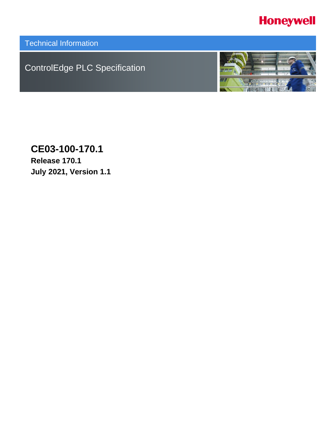# **Honeywell**

Technical Information

ControlEdge PLC Specification



**CE03-100-170.1 Release 170.1 July 2021, Version 1.1**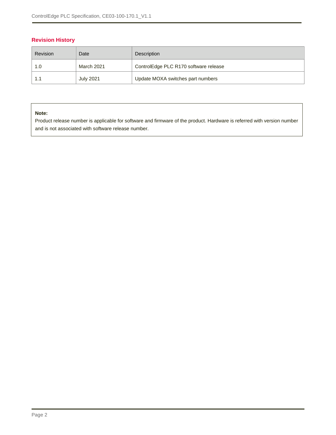### **Revision History**

| Revision | Date             | Description                           |
|----------|------------------|---------------------------------------|
| 1.0      | March 2021       | ControlEdge PLC R170 software release |
|          | <b>July 2021</b> | Update MOXA switches part numbers     |

#### **Note:**

Product release number is applicable for software and firmware of the product. Hardware is referred with version number and is not associated with software release number.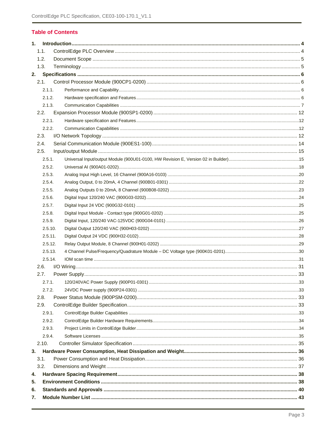#### **Table of Contents**

| 1.1.<br>1.2.<br>1.3.<br>2.<br>2.1.<br>2.1.1.<br>2.1.2.<br>2.1.3.<br>2.2.<br>2.2.1.<br>2.2.2.<br>2.3.<br>2.4.<br>2.5.<br>2.5.1.<br>2.5.2.<br>2.5.3.<br>2.5.4.<br>2.5.5.<br>2.5.6.<br>2.5.7.<br>2.5.8.<br>2.5.9.<br>2.5.10.<br>2.5.11.<br>2.5.12.<br>2.5.13.<br>2.5.14.<br>2.6.<br>2.7.<br>2.7.1.<br>2.7.2.<br>2.8.<br>2.9.<br>2.9.1.<br>2.9.2.<br>2.9.3.<br>2.9.4.<br>2.10.<br>3.<br>3.1.<br>3.2.<br>4. |  |  |  |
|--------------------------------------------------------------------------------------------------------------------------------------------------------------------------------------------------------------------------------------------------------------------------------------------------------------------------------------------------------------------------------------------------------|--|--|--|
|                                                                                                                                                                                                                                                                                                                                                                                                        |  |  |  |
|                                                                                                                                                                                                                                                                                                                                                                                                        |  |  |  |
|                                                                                                                                                                                                                                                                                                                                                                                                        |  |  |  |
|                                                                                                                                                                                                                                                                                                                                                                                                        |  |  |  |
|                                                                                                                                                                                                                                                                                                                                                                                                        |  |  |  |
|                                                                                                                                                                                                                                                                                                                                                                                                        |  |  |  |
|                                                                                                                                                                                                                                                                                                                                                                                                        |  |  |  |
|                                                                                                                                                                                                                                                                                                                                                                                                        |  |  |  |
|                                                                                                                                                                                                                                                                                                                                                                                                        |  |  |  |
|                                                                                                                                                                                                                                                                                                                                                                                                        |  |  |  |
|                                                                                                                                                                                                                                                                                                                                                                                                        |  |  |  |
|                                                                                                                                                                                                                                                                                                                                                                                                        |  |  |  |
|                                                                                                                                                                                                                                                                                                                                                                                                        |  |  |  |
|                                                                                                                                                                                                                                                                                                                                                                                                        |  |  |  |
|                                                                                                                                                                                                                                                                                                                                                                                                        |  |  |  |
|                                                                                                                                                                                                                                                                                                                                                                                                        |  |  |  |
|                                                                                                                                                                                                                                                                                                                                                                                                        |  |  |  |
|                                                                                                                                                                                                                                                                                                                                                                                                        |  |  |  |
|                                                                                                                                                                                                                                                                                                                                                                                                        |  |  |  |
|                                                                                                                                                                                                                                                                                                                                                                                                        |  |  |  |
|                                                                                                                                                                                                                                                                                                                                                                                                        |  |  |  |
|                                                                                                                                                                                                                                                                                                                                                                                                        |  |  |  |
|                                                                                                                                                                                                                                                                                                                                                                                                        |  |  |  |
|                                                                                                                                                                                                                                                                                                                                                                                                        |  |  |  |
|                                                                                                                                                                                                                                                                                                                                                                                                        |  |  |  |
|                                                                                                                                                                                                                                                                                                                                                                                                        |  |  |  |
|                                                                                                                                                                                                                                                                                                                                                                                                        |  |  |  |
|                                                                                                                                                                                                                                                                                                                                                                                                        |  |  |  |
|                                                                                                                                                                                                                                                                                                                                                                                                        |  |  |  |
|                                                                                                                                                                                                                                                                                                                                                                                                        |  |  |  |
|                                                                                                                                                                                                                                                                                                                                                                                                        |  |  |  |
|                                                                                                                                                                                                                                                                                                                                                                                                        |  |  |  |
|                                                                                                                                                                                                                                                                                                                                                                                                        |  |  |  |
|                                                                                                                                                                                                                                                                                                                                                                                                        |  |  |  |
|                                                                                                                                                                                                                                                                                                                                                                                                        |  |  |  |
|                                                                                                                                                                                                                                                                                                                                                                                                        |  |  |  |
|                                                                                                                                                                                                                                                                                                                                                                                                        |  |  |  |
|                                                                                                                                                                                                                                                                                                                                                                                                        |  |  |  |
|                                                                                                                                                                                                                                                                                                                                                                                                        |  |  |  |
|                                                                                                                                                                                                                                                                                                                                                                                                        |  |  |  |
|                                                                                                                                                                                                                                                                                                                                                                                                        |  |  |  |
|                                                                                                                                                                                                                                                                                                                                                                                                        |  |  |  |
| 5.                                                                                                                                                                                                                                                                                                                                                                                                     |  |  |  |
| 6.                                                                                                                                                                                                                                                                                                                                                                                                     |  |  |  |
| 7.                                                                                                                                                                                                                                                                                                                                                                                                     |  |  |  |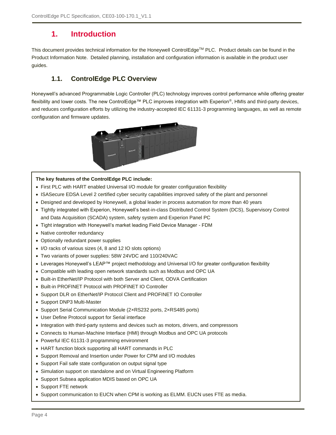## <span id="page-3-0"></span>**1. Introduction**

<span id="page-3-1"></span>This document provides technical information for the Honeywell ControlEdge™ PLC. Product details can be found in the Product Information Note. Detailed planning, installation and configuration information is available in the product user guides.

## **1.1. ControlEdge PLC Overview**

Honeywell's advanced Programmable Logic Controller (PLC) technology improves control performance while offering greater flexibility and lower costs. The new ControlEdge™ PLC improves integration with Experion®, HMIs and third-party devices, and reduces configuration efforts by utilizing the industry-accepted IEC 61131-3 programming languages, as well as remote configuration and firmware updates.



#### **The key features of the ControlEdge PLC include:**

- First PLC with HART enabled Universal I/O module for greater configuration flexibility
- ISASecure EDSA Level 2 certified cyber security capabilities improved safety of the plant and personnel
- Designed and developed by Honeywell, a global leader in process automation for more than 40 years
- Tightly integrated with Experion, Honeywell's best-in-class Distributed Control System (DCS), Supervisory Control and Data Acquisition (SCADA) system, safety system and Experion Panel PC
- Tight integration with Honeywell's market leading Field Device Manager FDM
- Native controller redundancy
- Optionally redundant power supplies
- I/O racks of various sizes (4, 8 and 12 IO slots options)
- Two variants of power supplies: 58W 24VDC and 110/240VAC
- Leverages Honeywell's LEAP™ project methodology and Universal I/O for greater configuration flexibility
- Compatible with leading open network standards such as Modbus and OPC UA
- Built-in EtherNet/IP Protocol with both Server and Client, ODVA Certification
- Built-in PROFINET Protocol with PROFINET IO Controller
- Support DLR on EtherNet/IP Protocol Client and PROFINET IO Controller
- Support DNP3 Multi-Master
- Support Serial Communication Module (2×RS232 ports, 2×RS485 ports)
- User Define Protocol support for Serial interface
- Integration with third-party systems and devices such as motors, drivers, and compressors
- Connects to Human-Machine Interface (HMI) through Modbus and OPC UA protocols
- Powerful IEC 61131-3 programming environment
- HART function block supporting all HART commands in PLC
- Support Removal and Insertion under Power for CPM and I/O modules
- Support Fail safe state configuration on output signal type
- Simulation support on standalone and on Virtual Engineering Platform
- Support Subsea application MDIS based on OPC UA
- Support FTE network
- Support communication to EUCN when CPM is working as ELMM. EUCN uses FTE as media.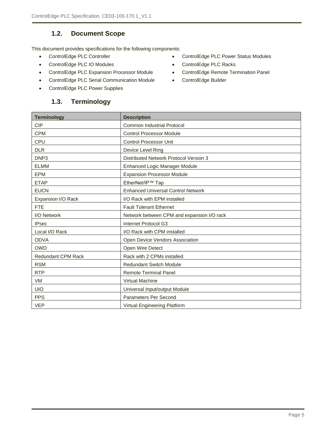## **1.2. Document Scope**

<span id="page-4-0"></span>This document provides specifications for the following components:

- 
- ControlEdge PLC IO Modules ControlEdge PLC Racks
- ControlEdge PLC Expansion Processor Module ControlEdge Remote Termination Panel
- ControlEdge PLC Serial Communication Module ControlEdge Builder
- <span id="page-4-1"></span>• ControlEdge PLC Power Supplies

### **1.3. Terminology**

- ControlEdge PLC Controller ControlEdge PLC Power Status Modules
	-
	-
	-

| <b>Terminology</b>        | <b>Description</b>                            |
|---------------------------|-----------------------------------------------|
| <b>CIP</b>                | <b>Common Industrial Protocol</b>             |
| <b>CPM</b>                | <b>Control Processor Module</b>               |
| CPU                       | <b>Control Processor Unit</b>                 |
| <b>DLR</b>                | Device Level Ring                             |
| DNP3                      | <b>Distributed Network Protocol Version 3</b> |
| <b>ELMM</b>               | Enhanced Logic Manager Module                 |
| <b>EPM</b>                | <b>Expansion Processor Module</b>             |
| <b>ETAP</b>               | EtherNet/IP™ Tap                              |
| <b>EUCN</b>               | <b>Enhanced Universal Control Network</b>     |
| Expansion I/O Rack        | I/O Rack with EPM installed                   |
| <b>FTE</b>                | <b>Fault Tolerant Ethernet</b>                |
| I/O Network               | Network between CPM and expansion I/O rack    |
| <b>IPsec</b>              | Internet Protocol G3                          |
| Local I/O Rack            | I/O Rack with CPM installed                   |
| <b>ODVA</b>               | Open Device Vendors Association               |
| <b>OWD</b>                | Open Wire Detect                              |
| <b>Redundant CPM Rack</b> | Rack with 2 CPMs installed                    |
| <b>RSM</b>                | <b>Redundant Switch Module</b>                |
| <b>RTP</b>                | <b>Remote Terminal Panel</b>                  |
| <b>VM</b>                 | <b>Virtual Machine</b>                        |
| <b>UIO</b>                | Universal Input/output Module                 |
| <b>PPS</b>                | Parameters Per Second                         |
| <b>VEP</b>                | Virtual Engineering Platform                  |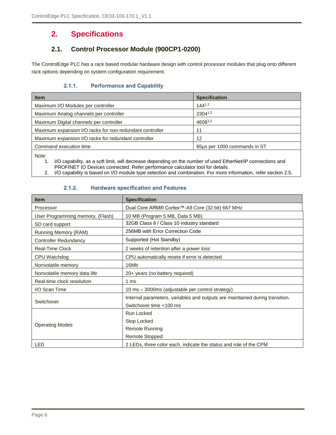## <span id="page-5-0"></span>**2. Specifications**

## **2.1. Control Processor Module (900CP1-0200)**

<span id="page-5-2"></span><span id="page-5-1"></span>The ControlEdge PLC has a rack based modular hardware design with control processor modules that plug onto different rack options depending on system configuration requirement.

#### **2.1.1. Performance and Capability**

| <b>Item</b>                                              | <b>Specification</b>         |
|----------------------------------------------------------|------------------------------|
| Maximum I/O Modules per controller                       | $144^{1,2}$                  |
| Maximum Analog channels per controller                   | 23041,2                      |
| Maximum Digital channels per controller                  | 46081,2                      |
| Maximum expansion I/O racks for non-redundant controller | 11                           |
| Maximum expansion I/O racks for redundant controller     | 12                           |
| Command execution time                                   | 85us per 1000 commands in ST |
|                                                          |                              |

Note:

1. I/O capability, as a soft limit, will decrease depending on the number of used EtherNet/IP connections and PROFINET IO Devices connected. Refer performance calculator tool for details.

<span id="page-5-3"></span>2. I/O capability is based on I/O module type selection and combination. For more information, refer section [2.5.](#page-14-0)

#### **2.1.2. Hardware specification and Features**

| <b>Item</b>                      | <b>Specification</b>                                                         |
|----------------------------------|------------------------------------------------------------------------------|
| Processor                        | Dual Core ARM® Cortex™-A9 Core (32 bit) 667 MHz                              |
| User Programming memory, (Flash) | 10 MB (Program 5 MB, Data 5 MB)                                              |
| SD card support                  | 32GB Class 6 / Class 10 industry standard                                    |
| Running Memory (RAM)             | 256MB with Error Correction Code                                             |
| <b>Controller Redundancy</b>     | Supported (Hot Standby)                                                      |
| <b>Real-Time Clock</b>           | 2 weeks of retention after a power loss                                      |
| CPU Watchdog                     | CPU automatically resets if error is detected                                |
| Nonvolatile memory               | 16Mb                                                                         |
| Nonvolatile memory data life     | 20+ years (no battery required)                                              |
| Real-time clock resolution       | 1 <sub>ms</sub>                                                              |
| I/O Scan Time                    | 10 ms - 3000ms (adjustable per control strategy)                             |
|                                  | Internal parameters, variables and outputs are maintained during transition. |
| Switchover                       | Switchover time <100 ms                                                      |
|                                  | <b>Run Locked</b>                                                            |
| <b>Operating Modes</b>           | Stop Locked                                                                  |
|                                  | <b>Remote Running</b>                                                        |
|                                  | <b>Remote Stopped</b>                                                        |
| LED                              | 2 LEDs, three color each, indicate the status and role of the CPM            |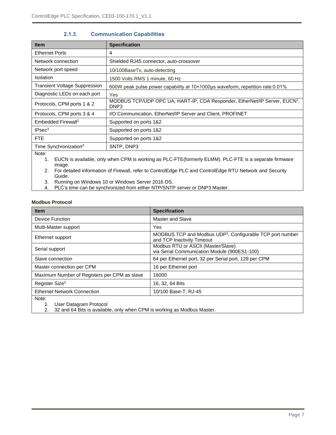<span id="page-6-0"></span>

| <b>Item</b>                                                                                                           | <b>Specification</b>                                                                           |  |
|-----------------------------------------------------------------------------------------------------------------------|------------------------------------------------------------------------------------------------|--|
| <b>Ethernet Ports</b>                                                                                                 | 4                                                                                              |  |
| Network connection                                                                                                    | Shielded RJ45 connector, auto-crossover                                                        |  |
| Network port speed                                                                                                    | 10/100BaseTx, auto-detecting                                                                   |  |
| <b>Isolation</b>                                                                                                      | 1500 Volts RMS 1 minute, 60 Hz                                                                 |  |
| <b>Transient Voltage Suppression</b>                                                                                  | 600W peak pulse power capability at 10×1000µs waveform, repetition rate:0.01%                  |  |
| Diagnostic LEDs on each port                                                                                          | Yes                                                                                            |  |
| Protocols, CPM ports 1 & 2                                                                                            | MODBUS TCP/UDP OPC UA, HART-IP, CDA Responder, EtherNet/IP Server, EUCN <sup>1</sup> ,<br>DNP3 |  |
| Protocols, CPM ports 3 & 4                                                                                            | I/O Communication, EtherNet/IP Server and Client, PROFINET                                     |  |
| Embedded Firewall <sup>2</sup>                                                                                        | Supported on ports 1&2                                                                         |  |
| IPsec <sup>3</sup>                                                                                                    | Supported on ports 1&2                                                                         |  |
| <b>FTE</b>                                                                                                            | Supported on ports 1&2                                                                         |  |
| Time Synchronization <sup>4</sup>                                                                                     | SNTP, DNP3                                                                                     |  |
| Note:<br>EUCN is available, only when CPM is working as PLC-FTE (formerly ELMM). PLC-FTE is a separate firmware<br>1. |                                                                                                |  |

#### **2.1.3. Communication Capabilities**

image.

2. For detailed information of Firewall, refer to ControlEdge PLC and ControlEdge RTU Network and Security Guide.

3. Running on Windows 10 or Windows Server 2016 OS.

4. PLC's time can be synchronized from either NTP/SNTP server or DNP3 Master.

#### **Modbus Protocol**

| <b>Item</b>                                  | <b>Specification</b>                                                                                |
|----------------------------------------------|-----------------------------------------------------------------------------------------------------|
| Device Function                              | <b>Master and Slave</b>                                                                             |
| Multi-Master support                         | Yes                                                                                                 |
| Ethernet support                             | MODBUS TCP and Modbus UDP <sup>1</sup> , Configurable TCP port number<br>and TCP Inactivity Timeout |
| Serial support                               | Modbus RTU or ASCII (Master/Slave)<br>via Serial Communication Module (900ES1-100)                  |
| Slave connection                             | 64 per Ethernet port, 32 per Serial port, 128 per CPM                                               |
| Master connection per CPM                    | 16 per Ethernet port                                                                                |
| Maximum Number of Registers per CPM as slave | 16000                                                                                               |
| Register Size <sup>2</sup>                   | 16, 32, 64 Bits                                                                                     |
| <b>Ethernet Network Connection</b>           | 10/100 Base-T, RJ-45                                                                                |
| Note:<br>User Datagram Protocol<br>1.        |                                                                                                     |

2. 32 and 64 Bits is available, only when CPM is working as Modbus Master.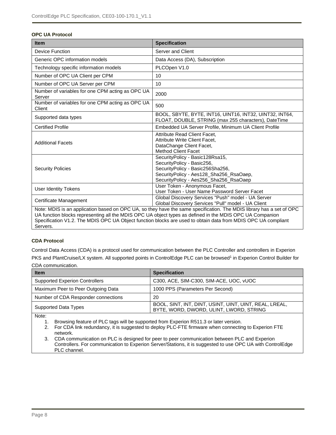#### **OPC UA Protocol**

| <b>Item</b>                                                                                                                                                                                                                                                                                                                                                   | <b>Specification</b>                                                                                                                                                                   |  |
|---------------------------------------------------------------------------------------------------------------------------------------------------------------------------------------------------------------------------------------------------------------------------------------------------------------------------------------------------------------|----------------------------------------------------------------------------------------------------------------------------------------------------------------------------------------|--|
| <b>Device Function</b>                                                                                                                                                                                                                                                                                                                                        | Server and Client                                                                                                                                                                      |  |
| Generic OPC information models                                                                                                                                                                                                                                                                                                                                | Data Access (DA), Subscription                                                                                                                                                         |  |
| Technology specific information models                                                                                                                                                                                                                                                                                                                        | PLCOpen V1.0                                                                                                                                                                           |  |
| Number of OPC UA Client per CPM                                                                                                                                                                                                                                                                                                                               | 10                                                                                                                                                                                     |  |
| Number of OPC UA Server per CPM                                                                                                                                                                                                                                                                                                                               | 10                                                                                                                                                                                     |  |
| Number of variables for one CPM acting as OPC UA<br>Server                                                                                                                                                                                                                                                                                                    | 2000                                                                                                                                                                                   |  |
| Number of variables for one CPM acting as OPC UA<br>Client                                                                                                                                                                                                                                                                                                    | 500                                                                                                                                                                                    |  |
| Supported data types                                                                                                                                                                                                                                                                                                                                          | BOOL, SBYTE, BYTE, INT16, UINT16, INT32, UINT32, INT64,<br>FLOAT, DOUBLE, STRING (max 255 characters), DateTime                                                                        |  |
| <b>Certified Profile</b>                                                                                                                                                                                                                                                                                                                                      | Embedded UA Server Profile, Minimum UA Client Profile                                                                                                                                  |  |
| <b>Additional Facets</b>                                                                                                                                                                                                                                                                                                                                      | Attribute Read Client Facet.<br>Attribute Write Client Facet,<br>DataChange Client Facet,<br><b>Method Client Facet</b>                                                                |  |
| <b>Security Policies</b>                                                                                                                                                                                                                                                                                                                                      | SecurityPolicy - Basic128Rsa15,<br>SecurityPolicy - Basic256,<br>SecurityPolicy - Basic256Sha256,<br>SecurityPolicy - Aes128_Sha256_RsaOaep,<br>SecurityPolicy - Aes256_Sha256_RsaOaep |  |
| <b>User Identity Tokens</b>                                                                                                                                                                                                                                                                                                                                   | User Token - Anonymous Facet,<br>User Token - User Name Password Server Facet                                                                                                          |  |
| Certificate Management                                                                                                                                                                                                                                                                                                                                        | Global Discovery Services "Push" model - UA Server<br>Global Discovery Services "Pull" model - UA Client                                                                               |  |
| Note: MDIS is an application based on OPC UA, so they have the same specification. The MDIS library has a set of OPC<br>UA function blocks representing all the MDIS OPC UA object types as defined in the MDIS OPC UA Companion<br>Specification V1.2. The MDIS OPC UA Object function blocks are used to obtain data from MDIS OPC UA compliant<br>Servers. |                                                                                                                                                                                        |  |

#### **CDA Protocol**

Control Data Access (CDA) is a protocol used for communication between the PLC Controller and controllers in Experion PKS and PlantCruise/LX system. All supported points in ControlEdge PLC can be browsed<sup>1</sup> in Experion Control Builder for CDA communication.

| <b>Item</b>                                                                                                                                                                                               | <b>Specification</b>                                                                              |  |
|-----------------------------------------------------------------------------------------------------------------------------------------------------------------------------------------------------------|---------------------------------------------------------------------------------------------------|--|
| <b>Supported Experion Controllers</b>                                                                                                                                                                     | C300, ACE, SIM-C300, SIM-ACE, UOC, vUOC                                                           |  |
| Maximum Peer to Peer Outgoing Data                                                                                                                                                                        | 1000 PPS (Parameters Per Second)                                                                  |  |
| Number of CDA Responder connections                                                                                                                                                                       | 20                                                                                                |  |
| Supported Data Types                                                                                                                                                                                      | BOOL, SINT, INT, DINT, USINT, UINT, UINT, REAL, LREAL,<br>BYTE, WORD, DWORD, ULINT, LWORD, STRING |  |
| Note:<br>Browsing feature of PLC tags will be supported from Experion R511.3 or later version.<br>Ear CDA link redundance it is suggested to deploy DLC ETE firmware when connecting to Experien ETE<br>ົ |                                                                                                   |  |

2. For CDA link redundancy, it is suggested to deploy PLC-FTE firmware when connecting to Experion FTE network.

3. CDA communication on PLC is designed for peer to peer communication between PLC and Experion Controllers. For communication to Experion Server/Stations, it is suggested to use OPC UA with ControlEdge PLC channel.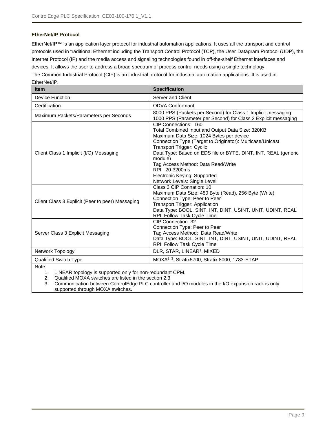#### **EtherNet/IP Protocol**

EtherNet/IP™ is an application layer protocol for industrial automation applications. It uses all the transport and control protocols used in traditional Ethernet including the Transport Control Protocol (TCP), the User Datagram Protocol (UDP), the Internet Protocol (IP) and the media access and signaling technologies found in off-the-shelf Ethernet interfaces and devices. It allows the user to address a broad spectrum of process control needs using a single technology. The Common Industrial Protocol (CIP) is an industrial protocol for industrial automation applications. It is used in EtherNet/IP.

| Item                                             | <b>Specification</b>                                                                                                                                                                                                                                                                                                                                                                                                       |
|--------------------------------------------------|----------------------------------------------------------------------------------------------------------------------------------------------------------------------------------------------------------------------------------------------------------------------------------------------------------------------------------------------------------------------------------------------------------------------------|
| <b>Device Function</b>                           | Server and Client                                                                                                                                                                                                                                                                                                                                                                                                          |
| Certification                                    | <b>ODVA Conformant</b>                                                                                                                                                                                                                                                                                                                                                                                                     |
| Maximum Packets/Parameters per Seconds           | 8000 PPS (Packets per Second) for Class 1 Implicit messaging<br>1000 PPS (Parameter per Second) for Class 3 Explicit messaging                                                                                                                                                                                                                                                                                             |
| Client Class 1 Implicit (I/O) Messaging          | CIP Connections: 160<br>Total Combined Input and Output Data Size: 320KB<br>Maximum Data Size: 1024 Bytes per device<br>Connection Type (Target to Originator): Multicase/Unicast<br><b>Transport Trigger: Cyclic</b><br>Data Type: Based on EDS file or BYTE, DINT, INT, REAL (generic<br>module)<br>Tag Access Method: Data Read/Write<br>RPI: 20-3200ms<br>Electronic Keying: Supported<br>Network Levels: Single Level |
| Client Class 3 Explicit (Peer to peer) Messaging | Class 3 CIP Connation: 10<br>Maximum Data Size: 480 Byte (Read), 256 Byte (Write)<br>Connection Type: Peer to Peer<br><b>Transport Trigger: Application</b><br>Data Type: BOOL, SINT, INT, DINT, USINT, UNIT, UDINT, REAL<br><b>RPI: Follow Task Cycle Time</b>                                                                                                                                                            |
| Server Class 3 Explicit Messaging                | CIP Connection: 32<br>Connection Type: Peer to Peer<br>Tag Access Method: Data Read/Write<br>Data Type: BOOL, SINT, INT, DINT, USINT, UNIT, UDINT, REAL<br>RPI: Follow Task Cycle Time                                                                                                                                                                                                                                     |
| Network Topology                                 | DLR, STAR, LINEAR <sup>1</sup> , MIXED                                                                                                                                                                                                                                                                                                                                                                                     |
| <b>Qualified Switch Type</b>                     | MOXA <sup>2, 3</sup> , Stratix5700, Stratix 8000, 1783-ETAP                                                                                                                                                                                                                                                                                                                                                                |
| Note:                                            |                                                                                                                                                                                                                                                                                                                                                                                                                            |

1. LINEAR topology is supported only for non-redundant CPM.

2. Qualified MOXA switches are listed in the section [2.3](#page-11-3)

3. Communication between ControlEdge PLC controller and I/O modules in the I/O expansion rack is only supported through MOXA switches.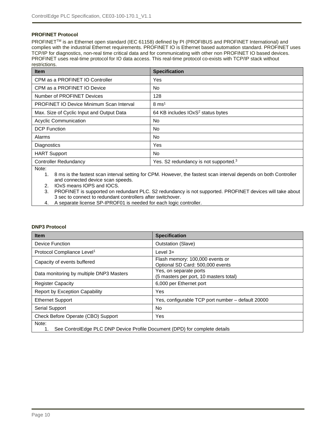#### **PROFINET Protocol**

PROFINET™ is an Ethernet open standard (IEC 61158) defined by PI (PROFIBUS and PROFINET International) and complies with the industrial Ethernet requirements. PROFINET IO is Ethernet based automation standard. PROFINET uses TCP/IP for diagnostics, non-real time critical data and for communicating with other non PROFINET IO based devices. PROFINET uses real-time protocol for IO data access. This real-time protocol co-exists with TCP/IP stack without restrictions.

| <b>Item</b>                                     | <b>Specification</b>                              |
|-------------------------------------------------|---------------------------------------------------|
| CPM as a PROFINET IO Controller                 | Yes                                               |
| CPM as a PROFINET IO Device                     | No.                                               |
| Number of PROFINET Devices                      | 128                                               |
| <b>PROFINET IO Device Minimum Scan Interval</b> | $8 \text{ ms}^1$                                  |
| Max. Size of Cyclic Input and Output Data       | 64 KB includes IOxS <sup>2</sup> status bytes     |
| <b>Acyclic Communication</b>                    | <b>No</b>                                         |
| <b>DCP</b> Function                             | <b>No</b>                                         |
| Alarms                                          | <b>No</b>                                         |
| Diagnostics                                     | Yes                                               |
| <b>HART Support</b>                             | <b>No</b>                                         |
| <b>Controller Redundancy</b>                    | Yes. S2 redundancy is not supported. <sup>3</sup> |

Note:

1. 8 ms is the fastest scan interval setting for CPM. However, the fastest scan interval depends on both Controller and connected device scan speeds.

2. IOxS means IOPS and IOCS.<br>3. PROFINET is supported on re 3. PROFINET is supported on redundant PLC. S2 redundancy is not supported. PROFINET devices will take about 3 sec to connect to redundant controllers after switchover.

4. A separate license SP-IPROF01 is needed for each logic controller.

#### **DNP3 Protocol**

| <b>Item</b>                                                                         | <b>Specification</b>                                                |  |
|-------------------------------------------------------------------------------------|---------------------------------------------------------------------|--|
| Device Function                                                                     | <b>Outstation (Slave)</b>                                           |  |
| Protocol Compliance Level <sup>1</sup>                                              | Level $3+$                                                          |  |
| Capacity of events buffered                                                         | Flash memory: 100,000 events or<br>Optional SD Card: 500,000 events |  |
| Data monitoring by multiple DNP3 Masters                                            | Yes, on separate ports<br>(5 masters per port, 10 masters total)    |  |
| <b>Register Capacity</b>                                                            | 6,000 per Ethernet port                                             |  |
| <b>Report by Exception Capability</b>                                               | Yes                                                                 |  |
| <b>Ethernet Support</b>                                                             | Yes, configurable TCP port number - default 20000                   |  |
| Serial Support                                                                      | No                                                                  |  |
| Check Before Operate (CBO) Support                                                  | Yes                                                                 |  |
| Note:<br>See ControlEdge PLC DNP Device Profile Document (DPD) for complete details |                                                                     |  |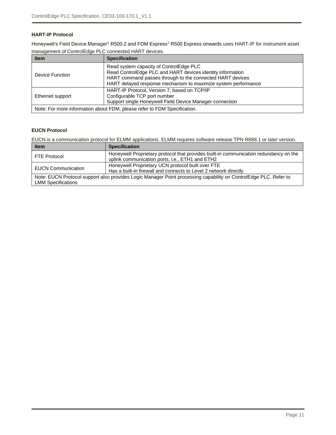#### **HART-IP Protocol**

Honeywell's Field Device Manager<sup>1</sup> R500.2 and FDM Express<sup>1</sup> R500 Express onwards uses HART-IP for instrument asset management of ControlEdge PLC connected HART devices.

| <b>Item</b>                                                                                                                                                  | <b>Specification</b>                                                                                                                                                                                                                 |  |
|--------------------------------------------------------------------------------------------------------------------------------------------------------------|--------------------------------------------------------------------------------------------------------------------------------------------------------------------------------------------------------------------------------------|--|
| Device Function                                                                                                                                              | Read system capacity of ControlEdge PLC<br>Read ControlEdge PLC and HART devices identity information<br>HART command passes through to the connected HART devices<br>HART delayed response mechanism to maximize system performance |  |
| HART-IP Protocol, Version 7, based on TCP/IP<br>Configurable TCP port number<br>Ethernet support<br>Support single Honeywell Field Device Manager connection |                                                                                                                                                                                                                                      |  |
| Note: For more information about FDM, please refer to FDM Specification.                                                                                     |                                                                                                                                                                                                                                      |  |

#### **EUCN Protocol**

EUCN is a communication protocol for ELMM applications. ELMM requires software release TPN R688.1 or later version.

| <b>Item</b>                                                                                                                                   | <b>Specification</b>                                                                                                                     |  |
|-----------------------------------------------------------------------------------------------------------------------------------------------|------------------------------------------------------------------------------------------------------------------------------------------|--|
| <b>FTE Protocol</b>                                                                                                                           | Honeywell Proprietary protocol that provides built-in communication redundancy on the<br>uplink communication ports, i.e., ETH1 and ETH2 |  |
| <b>EUCN Communication</b>                                                                                                                     | Honeywell Proprietary UCN protocol built over FTE<br>Has a built-in firewall and connects to Level 2 network directly                    |  |
| Note: EUCN Protocol support also provides Logic Manager Point processing capability on ControlEdge PLC. Refer to<br><b>LMM Specifications</b> |                                                                                                                                          |  |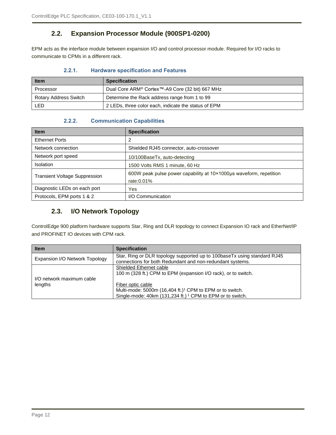### **2.2. Expansion Processor Module (900SP1-0200)**

<span id="page-11-1"></span><span id="page-11-0"></span>EPM acts as the interface module between expansion I/O and control processor module. Required for I/O racks to communicate to CPMs in a different rack.

| 2.2.1. |  | <b>Hardware specification and Features</b> |  |  |
|--------|--|--------------------------------------------|--|--|
|--------|--|--------------------------------------------|--|--|

| <b>Item</b>           | <b>Specification</b>                                        |
|-----------------------|-------------------------------------------------------------|
| Processor             | Dual Core ARM <sup>®</sup> Cortex™-A9 Core (32 bit) 667 MHz |
| Rotary Address Switch | Determine the Rack address range from 1 to 99               |
| <b>LED</b>            | 2 LEDs, three color each, indicate the status of EPM        |

#### **2.2.2. Communication Capabilities**

<span id="page-11-2"></span>

| <b>Item</b>                          | <b>Specification</b>                                               |
|--------------------------------------|--------------------------------------------------------------------|
| <b>Ethernet Ports</b>                | 2                                                                  |
| Network connection                   | Shielded RJ45 connector, auto-crossover                            |
| Network port speed                   | 10/100BaseTx, auto-detecting                                       |
| <b>Isolation</b>                     | 1500 Volts RMS 1 minute, 60 Hz                                     |
| <b>Transient Voltage Suppression</b> | 600W peak pulse power capability at 10×1000µs waveform, repetition |
|                                      | rate: 0.01%                                                        |
| Diagnostic LEDs on each port         | Yes                                                                |
| Protocols, EPM ports 1 & 2           | I/O Communication                                                  |

### <span id="page-11-3"></span>**2.3. I/O Network Topology**

ControlEdge 900 platform hardware supports Star, Ring and DLR topology to connect Expansion IO rack and EtherNet/IP and PROFINET IO devices with CPM rack.

| <b>Item</b>                    | <b>Specification</b>                                                      |
|--------------------------------|---------------------------------------------------------------------------|
| Expansion I/O Network Topology | Star, Ring or DLR topology supported up to 100base Tx using standard RJ45 |
|                                | connections for both Redundant and non-redundant systems.                 |
|                                | Shielded Ethernet cable                                                   |
|                                | 100 m (328 ft.) CPM to EPM (expansion I/O rack), or to switch.            |
| I/O network maximum cable      |                                                                           |
| lengths                        | Fiber optic cable                                                         |
|                                | Multi-mode: 5000m (16,404 ft.) <sup>1</sup> CPM to EPM or to switch.      |
|                                | Single-mode: 40km (131,234 ft.) <sup>1</sup> CPM to EPM or to switch.     |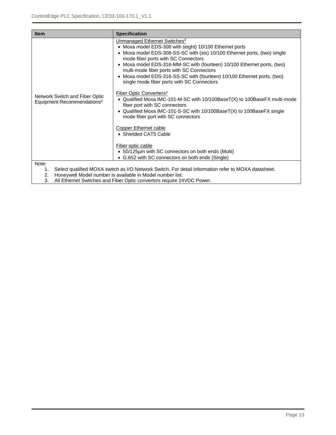| <b>Item</b>                                                              | <b>Specification</b>                                                                                                                                                                                                                                                                                                                                                                                                                                                                                                                                                                                                                                                                                                                                                                                                                                                                                                                  |
|--------------------------------------------------------------------------|---------------------------------------------------------------------------------------------------------------------------------------------------------------------------------------------------------------------------------------------------------------------------------------------------------------------------------------------------------------------------------------------------------------------------------------------------------------------------------------------------------------------------------------------------------------------------------------------------------------------------------------------------------------------------------------------------------------------------------------------------------------------------------------------------------------------------------------------------------------------------------------------------------------------------------------|
| Network Switch and Fiber Optic<br>Equipment Recommendations <sup>2</sup> | Unmanaged Ethernet Switches <sup>3</sup><br>• Moxa model EDS-308 with (eight) 10/100 Ethernet ports<br>• Moxa model EDS-308-SS-SC with (six) 10/100 Ethernet ports, (two) single<br>mode fiber ports with SC Connectors<br>• Moxa model EDS-316-MM-SC with (fourteen) 10/100 Ethernet ports, (two)<br>multi-mode fiber ports with SC Connectors<br>• Moxa model EDS-316-SS-SC with (fourteen) 10/100 Ethernet ports, (two)<br>single mode fiber ports with SC Connectors<br>Fiber Optic Converters <sup>3</sup><br>• Qualified Moxa IMC-101-M-SC with 10/100BaseT(X) to 100BaseFX multi-mode<br>fiber port with SC connectors<br>• Qualified Moxa IMC-101-S-SC with 10/100BaseT(X) to 100BaseFX single<br>mode fiber port with SC connectors<br><b>Copper Ethernet cable</b><br>• Shielded CAT5 Cable<br>Fiber optic cable<br>• 50/125 µm with SC connectors on both ends (Multi)<br>• G.652 with SC connectors on both ends (Single) |
| Note:<br>1.<br>2.<br>າ                                                   | Select qualified MOXA switch as I/O Network Switch. For detail information refer to MOXA datasheet.<br>Honeywell Model number is available in Model number list.<br>All Ethernet Switches and Eiher Optic convertors require 24VDC Power                                                                                                                                                                                                                                                                                                                                                                                                                                                                                                                                                                                                                                                                                              |

3. All Ethernet Switches and Fiber Optic convertors require 24VDC Power.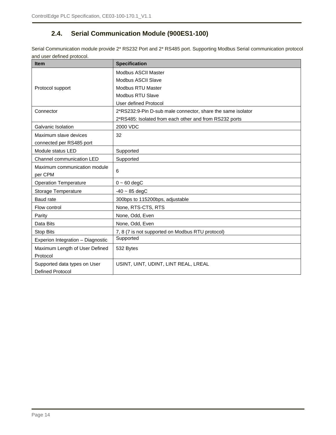## **2.4. Serial Communication Module (900ES1-100)**

<span id="page-13-0"></span>Serial Communication module provide 2\* RS232 Port and 2\* RS485 port. Supporting Modbus Serial communication protocol and user defined protocol.

| <b>Item</b>                       | <b>Specification</b>                                        |
|-----------------------------------|-------------------------------------------------------------|
|                                   | Modbus ASCII Master                                         |
|                                   | Modbus ASCII Slave                                          |
| Protocol support                  | <b>Modbus RTU Master</b>                                    |
|                                   | Modbus RTU Slave                                            |
|                                   | User defined Protocol                                       |
| Connector                         | 2*RS232:9-Pin D-sub male connector, share the same isolator |
|                                   | 2*RS485: Isolated from each other and from RS232 ports      |
| Galvanic Isolation                | 2000 VDC                                                    |
| Maximum slave devices             | 32                                                          |
| connected per RS485 port          |                                                             |
| Module status LED                 | Supported                                                   |
| Channel communication LED         | Supported                                                   |
| Maximum communication module      | 6                                                           |
| per CPM                           |                                                             |
| <b>Operation Temperature</b>      | $0 - 60$ degC                                               |
| Storage Temperature               | $-40 \sim 85 \text{ degC}$                                  |
| Baud rate                         | 300bps to 115200bps, adjustable                             |
| Flow control                      | None, RTS-CTS, RTS                                          |
| Parity                            | None, Odd, Even                                             |
| Data Bits                         | None, Odd, Even                                             |
| <b>Stop Bits</b>                  | 7, 8 (7 is not supported on Modbus RTU protocol)            |
| Experion Integration - Diagnostic | Supported                                                   |
| Maximum Length of User Defined    | 532 Bytes                                                   |
| Protocol                          |                                                             |
| Supported data types on User      | USINT, UINT, UDINT, LINT REAL, LREAL                        |
| <b>Defined Protocol</b>           |                                                             |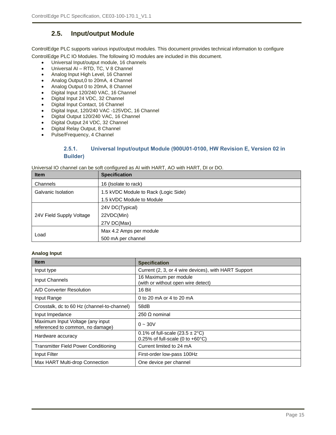## **2.5. Input/output Module**

<span id="page-14-0"></span>ControlEdge PLC supports various input/output modules. This document provides technical information to configure

ControlEdge PLC IO Modules. The following IO modules are included in this document.

- Universal Input/output module, 16 channels
- Universal AI RTD, TC, V 8 Channel
- Analog Input High Level, 16 Channel
- Analog Output,0 to 20mA, 4 Channel
- Analog Output 0 to 20mA, 8 Channel
- Digital Input 120/240 VAC, 16 Channel
- Digital Input 24 VDC, 32 Channel
- Digital Input Contact, 16 Channel
- Digital Input, 120/240 VAC -125VDC, 16 Channel
- Digital Output 120/240 VAC, 16 Channel
- Digital Output 24 VDC, 32 Channel
- Digital Relay Output, 8 Channel
- <span id="page-14-1"></span>Pulse/Frequency, 4 Channel

#### **2.5.1. Universal Input/output Module (900U01-0100, HW Revision E, Version 02 in Builder)**

Universal IO channel can be soft configured as AI with HART, AO with HART, DI or DO.

| <b>Item</b>              | <b>Specification</b>                 |  |
|--------------------------|--------------------------------------|--|
| Channels                 | 16 (Isolate to rack)                 |  |
| Galvanic Isolation       | 1.5 kVDC Module to Rack (Logic Side) |  |
|                          | 1.5 kVDC Module to Module            |  |
|                          | 24V DC(Typical)                      |  |
| 24V Field Supply Voltage | 22VDC(Min)                           |  |
|                          | 27V DC(Max)                          |  |
|                          | Max 4.2 Amps per module              |  |
| Load                     | 500 mA per channel                   |  |

#### **Analog Input**

| <b>Item</b>                                                          | <b>Specification</b>                                                                     |
|----------------------------------------------------------------------|------------------------------------------------------------------------------------------|
| Input type                                                           | Current (2, 3, or 4 wire devices), with HART Support                                     |
| Input Channels                                                       | 16 Maximum per module<br>(with or without open wire detect)                              |
| A/D Converter Resolution                                             | 16 Bit                                                                                   |
| Input Range                                                          | 0 to 20 mA or 4 to 20 mA                                                                 |
| Crosstalk, dc to 60 Hz (channel-to-channel)                          | 58dB                                                                                     |
| Input Impedance                                                      | 250 $\Omega$ nominal                                                                     |
| Maximum Input Voltage (any input<br>referenced to common, no damage) | $0 - 30V$                                                                                |
| Hardware accuracy                                                    | 0.1% of full-scale $(23.5 \pm 2^{\circ}C)$<br>0.25% of full-scale (0 to $+60^{\circ}$ C) |
| <b>Transmitter Field Power Conditioning</b>                          | Current limited to 24 mA                                                                 |
| Input Filter                                                         | First-order low-pass 100Hz                                                               |
| Max HART Multi-drop Connection                                       | One device per channel                                                                   |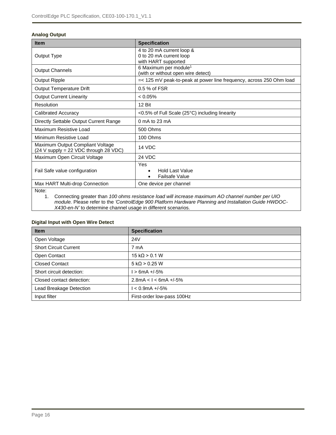#### **Analog Output**

| <b>Item</b>                                                                 | <b>Specification</b>                                                        |
|-----------------------------------------------------------------------------|-----------------------------------------------------------------------------|
| Output Type                                                                 | 4 to 20 mA current loop &<br>0 to 20 mA current loop<br>with HART supported |
| <b>Output Channels</b>                                                      | 6 Maximum per module <sup>1</sup><br>(with or without open wire detect)     |
| <b>Output Ripple</b>                                                        | =< 125 mV peak-to-peak at power line frequency, across 250 Ohm load         |
| <b>Output Temperature Drift</b>                                             | 0.5 % of FSR                                                                |
| <b>Output Current Linearity</b>                                             | $< 0.05\%$                                                                  |
| Resolution                                                                  | 12 Bit                                                                      |
| <b>Calibrated Accuracy</b>                                                  | <0.5% of Full Scale (25°C) including linearity                              |
| Directly Settable Output Current Range                                      | $0 \text{ mA}$ to 23 mA                                                     |
| Maximum Resistive Load                                                      | 500 Ohms                                                                    |
| Minimum Resistive Load                                                      | 100 Ohms                                                                    |
| Maximum Output Compliant Voltage<br>$(24 V supply = 22 VDC through 28 VDC)$ | 14 VDC                                                                      |
| Maximum Open Circuit Voltage                                                | 24 VDC                                                                      |
| Fail Safe value configuration                                               | Yes<br><b>Hold Last Value</b><br><b>Failsafe Value</b>                      |
| Max HART Multi-drop Connection                                              | One device per channel                                                      |
| Note:                                                                       |                                                                             |

1. Connecting greater than *100 ohms resistance load will increase maximum AO channel number per UIO module.* Please refer to the *'ControlEdge 900 Platform Hardware Planning and Installation Guide HWDOC-X430-en-N'* to determine channel usage in different scenarios.

#### **Digital Input with Open Wire Detect**

| <b>Item</b>                  | <b>Specification</b>       |
|------------------------------|----------------------------|
| Open Voltage                 | 24 <sub>V</sub>            |
| <b>Short Circuit Current</b> | 7 mA                       |
| Open Contact                 | $15 k\Omega > 0.1 W$       |
| <b>Closed Contact</b>        | $5 k\Omega > 0.25 W$       |
| Short circuit detection:     | $1 > 6mA + (-5%)$          |
| Closed contact detection:    | $2.8mA < I < 6mA +/-5%$    |
| Lead Breakage Detection      | $1 < 0.9$ mA +/-5%         |
| Input filter                 | First-order low-pass 100Hz |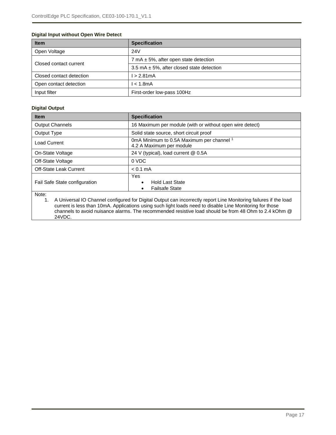#### **Digital Input without Open Wire Detect**

| <b>Item</b>              | <b>Specification</b>                          |  |
|--------------------------|-----------------------------------------------|--|
| Open Voltage             | 24V                                           |  |
| Closed contact current   | 7 mA $\pm$ 5%, after open state detection     |  |
|                          | 3.5 mA $\pm$ 5%, after closed state detection |  |
| Closed contact detection | l > 2.81mA                                    |  |
| Open contact detection   | $l < 1.8$ m $A$                               |  |
| Input filter             | First-order low-pass 100Hz                    |  |

#### **Digital Output**

| <b>Item</b>                   | <b>Specification</b>                                                                                                                                                                                                         |  |  |
|-------------------------------|------------------------------------------------------------------------------------------------------------------------------------------------------------------------------------------------------------------------------|--|--|
| <b>Output Channels</b>        | 16 Maximum per module (with or without open wire detect)                                                                                                                                                                     |  |  |
| Output Type                   | Solid state source, short circuit proof                                                                                                                                                                                      |  |  |
| <b>Load Current</b>           | 0mA Minimum to 0.5A Maximum per channel 1<br>4.2 A Maximum per module                                                                                                                                                        |  |  |
| On-State Voltage              | 24 V (typical), load current @ 0.5A                                                                                                                                                                                          |  |  |
| Off-State Voltage             | 0 VDC                                                                                                                                                                                                                        |  |  |
| <b>Off-State Leak Current</b> | $< 0.1 \text{ mA}$                                                                                                                                                                                                           |  |  |
| Fail Safe State configuration | <b>Yes</b><br><b>Hold Last State</b><br><b>Failsafe State</b>                                                                                                                                                                |  |  |
| Note:<br>1.                   | A Universal IO Channel configured for Digital Output can incorrectly report Line Monitoring failures if the load<br>current is less than 10mA. Applications using such light loads need to disable Line Monitoring for those |  |  |

current is less than 10mA. Applications using such light loads need to disable Line Monitoring for those channels to avoid nuisance alarms. The recommended resistive load should be from 48 Ohm to 2.4 kOhm @ 24VDC.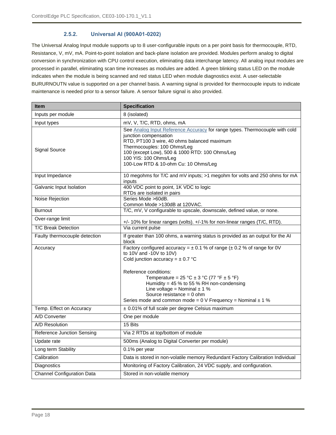#### **2.5.2. Universal AI (900A01-0202)**

<span id="page-17-0"></span>The Universal Analog Input module supports up to 8 user-configurable inputs on a per point basis for thermocouple, RTD, Resistance, V, mV, mA. Point-to-point isolation and back-plane isolation are provided. Modules perform analog to digital conversion in synchronization with CPU control execution, eliminating data interchange latency. All analog input modules are processed in parallel, eliminating scan time increases as modules are added. A green blinking status LED on the module indicates when the module is being scanned and red status LED when module diagnostics exist. A user-selectable BURURNOUTN value is supported on a per channel basis. A warning signal is provided for thermocouple inputs to indicate maintenance is needed prior to a sensor failure. A sensor failure signal is also provided.

| <b>Item</b>                       | <b>Specification</b>                                                                                                                                                                                                                                                                                  |  |
|-----------------------------------|-------------------------------------------------------------------------------------------------------------------------------------------------------------------------------------------------------------------------------------------------------------------------------------------------------|--|
| Inputs per module                 | 8 (isolated)                                                                                                                                                                                                                                                                                          |  |
| Input types                       | mV, V, T/C, RTD, ohms, mA                                                                                                                                                                                                                                                                             |  |
| <b>Signal Source</b>              | See Analog Input Reference Accuracy for range types. Thermocouple with cold<br>junction compensation<br>RTD, PT100 3 wire, 40 ohms balanced maximum<br>Thermocouples: 100 Ohms/Leg<br>100 (except Low), 500 & 1000 RTD: 100 Ohms/Leg<br>100 YIS: 100 Ohms/Leg<br>100-Low RTD & 10-ohm Cu: 10 Ohms/Leg |  |
| Input Impedance                   | 10 megohms for T/C and mV inputs; >1 megohm for volts and 250 ohms for mA<br>inputs                                                                                                                                                                                                                   |  |
| Galvanic Input Isolation          | 400 VDC point to point, 1K VDC to logic<br>RTDs are isolated in pairs                                                                                                                                                                                                                                 |  |
| Noise Rejection                   | Series Mode >60dB.<br>Common Mode >130dB at 120VAC.                                                                                                                                                                                                                                                   |  |
| <b>Burnout</b>                    | T/C, mV, V configurable to upscale, downscale, defined value, or none.                                                                                                                                                                                                                                |  |
| Over-range limit                  | +/- 10% for linear ranges (volts). +/-1% for non-linear ranges (T/C, RTD).                                                                                                                                                                                                                            |  |
| <b>T/C Break Detection</b>        | Via current pulse                                                                                                                                                                                                                                                                                     |  |
| Faulty thermocouple detection     | If greater than 100 ohms, a warning status is provided as an output for the AI<br>block                                                                                                                                                                                                               |  |
| Accuracy                          | Factory configured accuracy = $\pm$ 0.1 % of range ( $\pm$ 0.2 % of range for 0V<br>to 10V and -10V to 10V)<br>Cold junction accuracy = $\pm$ 0.7 °C                                                                                                                                                  |  |
|                                   | Reference conditions:<br>Temperature = $25 °C \pm 3 °C$ (77 °F $\pm 5 °F$ )<br>Humidity = $45%$ to 55% RH non-condensing<br>Line voltage = Nominal $\pm$ 1 %<br>Source resistance = $0$ ohm<br>Series mode and common mode = $0 \vee$ Frequency = Nominal $\pm 1 \%$                                  |  |
| Temp. Effect on Accuracy          | ± 0.01% of full scale per degree Celsius maximum                                                                                                                                                                                                                                                      |  |
| A/D Converter                     | One per module                                                                                                                                                                                                                                                                                        |  |
| A/D Resolution                    | 15 Bits                                                                                                                                                                                                                                                                                               |  |
| <b>Reference Junction Sensing</b> | Via 2 RTDs at top/bottom of module                                                                                                                                                                                                                                                                    |  |
| Update rate                       | 500ms (Analog to Digital Converter per module)                                                                                                                                                                                                                                                        |  |
| Long term Stability               | 0.1% per year                                                                                                                                                                                                                                                                                         |  |
| Calibration                       | Data is stored in non-volatile memory Redundant Factory Calibration Individual                                                                                                                                                                                                                        |  |
| Diagnostics                       | Monitoring of Factory Calibration, 24 VDC supply, and configuration.                                                                                                                                                                                                                                  |  |
| <b>Channel Configuration Data</b> | Stored in non-volatile memory                                                                                                                                                                                                                                                                         |  |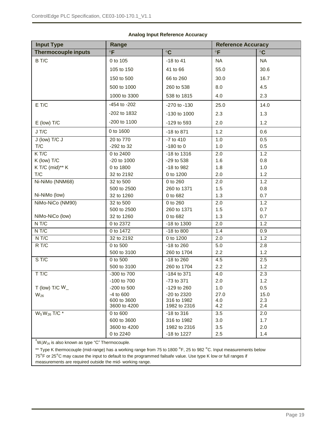<span id="page-18-0"></span>

| <b>Input Type</b>          | Range        |                  | <b>Reference Accuracy</b> |           |
|----------------------------|--------------|------------------|---------------------------|-----------|
| <b>Thermocouple inputs</b> | $\circ$ F    | $\circ$ C        | $\circ$ F                 | $\circ$ C |
| B T/C                      | 0 to 105     | $-18$ to $41$    | <b>NA</b>                 | <b>NA</b> |
|                            | 105 to 150   | 41 to 66         | 55.0                      | 30.6      |
|                            | 150 to 500   | 66 to 260        | 30.0                      | 16.7      |
|                            | 500 to 1000  | 260 to 538       | 8.0                       | 4.5       |
|                            | 1000 to 3300 | 538 to 1815      | 4.0                       | 2.3       |
| E T/C                      | -454 to -202 | $-270$ to $-130$ | 25.0                      | 14.0      |
|                            | -202 to 1832 | -130 to 1000     | 2.3                       | 1.3       |
| $E$ (low) $T/C$            | -200 to 1100 | -129 to 593      | 2.0                       | 1.2       |
| J T/C                      | 0 to 1600    | -18 to 871       | 1.2                       | 0.6       |
| J (low) T/C J              | 20 to 770    | -7 to 410        | 1.0                       | 0.5       |
| T/C                        | -292 to 32   | $-180$ to $0$    | 1.0                       | 0.5       |
| KT/C                       | 0 to 2400    | -18 to 1316      | 2.0                       | 1.2       |
| K (low) T/C                | -20 to 1000  | -29 to 538       | 1.6                       | 0.8       |
| K T/C (mid)** K            | 0 to 1800    | -18 to 982       | 1.8                       | 1.0       |
| T/C                        | 32 to 2192   | 0 to 1200        | 2.0                       | 1.2       |
| Ni-NiMo (NNM68)            | 32 to 500    | 0 to 260         | 2.0                       | 1.2       |
|                            | 500 to 2500  | 260 to 1371      | 1.5                       | 0.8       |
| Ni-NiMo (low)              | 32 to 1260   | 0 to 682         | 1.3                       | 0.7       |
| NiMo-NiCo (NM90)           | 32 to 500    | 0 to 260         | 2.0                       | 1.2       |
|                            | 500 to 2500  | 260 to 1371      | 1.5                       | 0.7       |
| NiMo-NiCo (low)            | 32 to 1260   | 0 to 682         | 1.3                       | 0.7       |
| N T/C                      | 0 to 2372    | -18 to 1300      | 2.0                       | 1.2       |
| N T/C                      | 0 to 1472    | $-18$ to $800$   | 1.4                       | 0.9       |
| $N$ T/C                    | 32 to 2192   | 0 to 1200        | 2.0                       | 1.2       |
| R T/C                      | 0 to 500     | -18 to 260       | 5.0                       | 2.8       |
|                            | 500 to 3100  | 260 to 1704      | 2.2                       | 1.2       |
| S T/C                      | 0 to 500     | -18 to 260       | 4.5                       | 2.5       |
|                            | 500 to 3100  | 260 to 1704      | 2.2                       | 1.2       |
| T T/C                      | -300 to 700  | -184 to 371      | 4.0                       | 2.3       |
|                            | -100 to 700  | -73 to 371       | 2.0                       | 1.2       |
| T (low) T/C $W_$           | -200 to 500  | -129 to 260      | 1.0                       | 0.5       |
| $W_{26}$                   | -4 to 600    | -20 to 2320      | 27.0                      | 15.0      |
|                            | 600 to 3600  | 316 to 1982      | 4.0                       | 2.3       |
|                            | 3600 to 4200 | 1982 to 2316     | 4.2                       | 2.4       |
| $W_5W_{26}$ T/C *          | 0 to 600     | $-18$ to $316$   | 3.5                       | 2.0       |
|                            | 600 to 3600  | 316 to 1982      | 3.0                       | 1.7       |
|                            | 3600 to 4200 | 1982 to 2316     | 3.5                       | 2.0       |
|                            | 0 to 2240    | -18 to 1227      | 2.5                       | 1.4       |

#### **Analog Input Reference Accuracy**

 $\sqrt[k+1]{\mathsf{W}_2\mathsf{W}_2}$  is also known as type "C" Thermocouple.

\*\* Type K thermocouple (mid-range) has a working range from 75 to 1800 °F, 25 to 982 °C. Input measurements below 75°F or 25°C may cause the input to default to the programmed failsafe value. Use type K low or full ranges if measurements are required outside the mid- working range.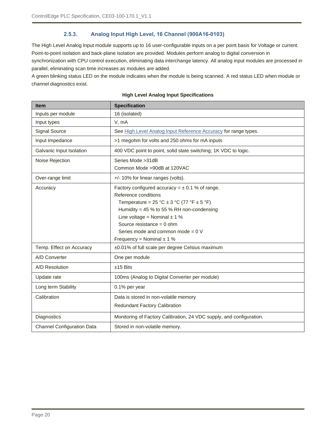#### **2.5.3. Analog Input High Level, 16 Channel (900A16-0103)**

<span id="page-19-0"></span>The High Level Analog Input module supports up to 16 user-configurable inputs on a per point basis for Voltage or current. Point-to-point isolation and back-plane isolation are provided. Modules perform analog to digital conversion in synchronization with CPU control execution, eliminating data interchange latency. All analog input modules are processed in parallel, eliminating scan time increases as modules are added.

A green blinking status LED on the module indicates when the module is being scanned. A red status LED when module or channel diagnostics exist.

| <b>Item</b>                       | <b>Specification</b>                                                                                                                                                                                                                                                                                                      |  |
|-----------------------------------|---------------------------------------------------------------------------------------------------------------------------------------------------------------------------------------------------------------------------------------------------------------------------------------------------------------------------|--|
| Inputs per module                 | 16 (isolated)                                                                                                                                                                                                                                                                                                             |  |
| Input types                       | V, mA                                                                                                                                                                                                                                                                                                                     |  |
| <b>Signal Source</b>              | See High Level Analog Input Reference Accuracy for range types.                                                                                                                                                                                                                                                           |  |
| Input Impedance                   | >1 megohm for volts and 250 ohms for mA inputs                                                                                                                                                                                                                                                                            |  |
| Galvanic Input Isolation          | 400 VDC point to point, solid state switching; 1K VDC to logic.                                                                                                                                                                                                                                                           |  |
| Noise Rejection                   | Series Mode > 31dB<br>Common Mode >90dB at 120VAC                                                                                                                                                                                                                                                                         |  |
| Over-range limit                  | +/- 10% for linear ranges (volts).                                                                                                                                                                                                                                                                                        |  |
| Accuracy                          | Factory configured accuracy = $\pm$ 0.1 % of range.<br>Reference conditions<br>Temperature = $25 °C \pm 3 °C$ (77 °F $\pm 5 °F$ )<br>Humidity = $45%$ to 55% RH non-condensing<br>Line voltage = Nominal $\pm$ 1 %<br>Source resistance = $0$ ohm<br>Series mode and common mode = $0 V$<br>Frequency = Nominal $\pm$ 1 % |  |
| Temp. Effect on Accuracy          | ±0.01% of full scale per degree Celsius maximum                                                                                                                                                                                                                                                                           |  |
| A/D Converter                     | One per module                                                                                                                                                                                                                                                                                                            |  |
| A/D Resolution                    | $±15$ Bits                                                                                                                                                                                                                                                                                                                |  |
| Update rate                       | 100ms (Analog to Digital Converter per module)                                                                                                                                                                                                                                                                            |  |
| Long term Stability               | 0.1% per year                                                                                                                                                                                                                                                                                                             |  |
| Calibration                       | Data is stored in non-volatile memory<br><b>Redundant Factory Calibration</b>                                                                                                                                                                                                                                             |  |
| Diagnostics                       | Monitoring of Factory Calibration, 24 VDC supply, and configuration.                                                                                                                                                                                                                                                      |  |
| <b>Channel Configuration Data</b> | Stored in non-volatile memory.                                                                                                                                                                                                                                                                                            |  |

#### **High Level Analog Input Specifications**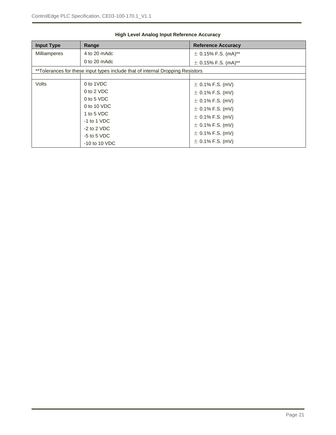<span id="page-20-0"></span>

| <b>Input Type</b>                                                              | Range           | <b>Reference Accuracy</b> |  |
|--------------------------------------------------------------------------------|-----------------|---------------------------|--|
| <b>Milliamperes</b>                                                            | 4 to 20 mAdc    | $\pm$ 0.15% F.S. (mA)**   |  |
|                                                                                | $0$ to 20 mAdc  | $\pm$ 0.15% F.S. (mA)**   |  |
| **Tolerances for these input types include that of internal Dropping Resistors |                 |                           |  |
|                                                                                |                 |                           |  |
| Volts                                                                          | 0 to 1VDC       | $\pm$ 0.1% F.S. (mV)      |  |
|                                                                                | 0 to 2 VDC      | $\pm$ 0.1% F.S. (mV)      |  |
|                                                                                | 0 to 5 VDC      | $\pm$ 0.1% F.S. (mV)      |  |
|                                                                                | $0$ to 10 VDC   | $\pm$ 0.1% F.S. (mV)      |  |
|                                                                                | 1 to 5 VDC      |                           |  |
|                                                                                | $-1$ to 1 VDC   | $\pm$ 0.1% F.S. (mV)      |  |
|                                                                                | $-2$ to 2 VDC   | $\pm$ 0.1% F.S. (mV)      |  |
|                                                                                |                 | $\pm$ 0.1% F.S. (mV)      |  |
|                                                                                | $-5$ to 5 VDC   |                           |  |
|                                                                                | $-10$ to 10 VDC | $\pm$ 0.1% F.S. (mV)      |  |

#### **High Level Analog Input Reference Accuracy**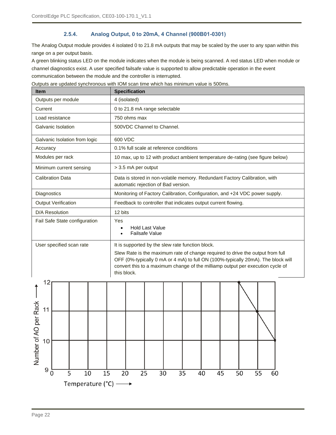#### **2.5.4. Analog Output, 0 to 20mA, 4 Channel (900B01-0301)**

<span id="page-21-0"></span>The Analog Output module provides 4 isolated 0 to 21.8 mA outputs that may be scaled by the user to any span within this range on a per output basis.

A green blinking status LED on the module indicates when the module is being scanned. A red status LED when module or channel diagnostics exist. A user specified failsafe value is supported to allow predictable operation in the event communication between the module and the controller is interrupted.

**Item Internal Contract Contract Contract Specification** Outputs per module | 4 (isolated) Current 0 to 21.8 mA range selectable Load resistance 250 ohms max Galvanic Isolation **1** 500VDC Channel to Channel. Galvanic Isolation from logic | 600 VDC Accuracy 10.1% full scale at reference conditions Modules per rack 10 max, up to 12 with product ambient temperature de-rating (see figure below) Minimum current sensing | > 3.5 mA per output Calibration Data Data is stored in non-volatile memory. Redundant Factory Calibration, with automatic rejection of Bad version. Diagnostics Monitoring of Factory Calibration, Configuration, and +24 VDC power supply. Output Verification Feedback to controller that indicates output current flowing. D/A Resolution 12 bits Fail Safe State configuration | Yes • Hold Last Value • Failsafe Value User specified scan rate  $\vert$  It is supported by the slew rate function block. Slew Rate is the maximum rate of change required to drive the output from full OFF (0%-typically 0 mA or 4 mA) to full ON (100%-typically 20mA). The block will convert this to a maximum change of the milliamp output per execution cycle of this block.12 Number of AO per Rack  $11$  $10$ 9  $\overline{0}$  $\overline{35}$ 5 10 15 20 25 30 40 45 50 55 60 Temperature ( $^{\circ}$ C)  $\longrightarrow$ 

Outputs are updated synchronous with IOM scan time which has minimum value is 500ms.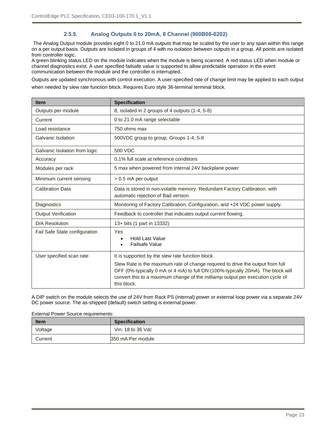#### **2.5.5. Analog Outputs 0 to 20mA, 8 Channel (900B08-0202)**

<span id="page-22-0"></span>The Analog Output module provides eight 0 to 21.0 mA outputs that may be scaled by the user to any span within this range on a per output basis. Outputs are isolated in groups of 4 with no isolation between outputs in a group. All points are isolated from controller logic.

A green blinking status LED on the module indicates when the module is being scanned. A red status LED when module or channel diagnostics exist. A user specified failsafe value is supported to allow predictable operation in the event communication between the module and the controller is interrupted.

Outputs are updated synchronous with control execution. A user-specified rate of change limit may be applied to each output when needed by slew rate function block. Requires Euro style 36-terminal terminal block.

| <b>Item</b>                   | <b>Specification</b>                                                                                                                                                                                                                                                |  |  |
|-------------------------------|---------------------------------------------------------------------------------------------------------------------------------------------------------------------------------------------------------------------------------------------------------------------|--|--|
| Outputs per module            | 8, isolated in 2 groups of 4 outputs (1-4, 5-8)                                                                                                                                                                                                                     |  |  |
| Current                       | 0 to 21.0 mA range selectable                                                                                                                                                                                                                                       |  |  |
| Load resistance               | 750 ohms max                                                                                                                                                                                                                                                        |  |  |
| Galvanic Isolation            | 500VDC group to group. Groups 1-4, 5-8                                                                                                                                                                                                                              |  |  |
| Galvanic Isolation from logic | 500 VDC                                                                                                                                                                                                                                                             |  |  |
| Accuracy                      | 0.1% full scale at reference conditions                                                                                                                                                                                                                             |  |  |
| Modules per rack              | 5 max when powered from internal 24V backplane power                                                                                                                                                                                                                |  |  |
| Minimum current sensing       | > 0.5 mA per output                                                                                                                                                                                                                                                 |  |  |
| <b>Calibration Data</b>       | Data is stored in non-volatile memory. Redundant Factory Calibration, with<br>automatic rejection of Bad version.                                                                                                                                                   |  |  |
| Diagnostics                   | Monitoring of Factory Calibration, Configuration, and +24 VDC power supply.                                                                                                                                                                                         |  |  |
| <b>Output Verification</b>    | Feedback to controller that indicates output current flowing.                                                                                                                                                                                                       |  |  |
| D/A Resolution                | 13+ bits (1 part in 13332)                                                                                                                                                                                                                                          |  |  |
| Fail Safe State configuration | Yes<br><b>Hold Last Value</b><br>Failsafe Value                                                                                                                                                                                                                     |  |  |
| User specified scan rate      | It is supported by the slew rate function block.                                                                                                                                                                                                                    |  |  |
|                               | Slew Rate is the maximum rate of change required to drive the output from full<br>OFF (0%-typically 0 mA or 4 mA) to full ON (100%-typically 20mA). The block will<br>convert this to a maximum change of the milliamp output per execution cycle of<br>this block. |  |  |

A DIP switch on the module selects the use of 24V from Rack PS (internal) power or external loop power via a separate 24V DC power source. The as-shipped (default) switch setting is external power.

External Power Source requirements:

| <b>Item</b> | <b>Specification</b> |
|-------------|----------------------|
| Voltage     | Vin: 18 to 36 Vdc    |
| Current     | 350 mA Per module    |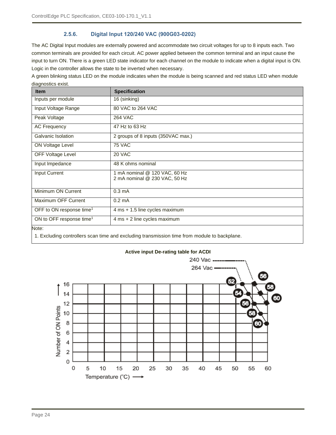#### **2.5.6. Digital Input 120/240 VAC (900G03-0202)**

<span id="page-23-0"></span>The AC Digital Input modules are externally powered and accommodate two circuit voltages for up to 8 inputs each. Two common terminals are provided for each circuit. AC power applied between the common terminal and an input cause the input to turn ON. There is a green LED state indicator for each channel on the module to indicate when a digital input is ON. Logic in the controller allows the state to be inverted when necessary.

A green blinking status LED on the module indicates when the module is being scanned and red status LED when module diagnostics exist.

| <b>Item</b>                          | <b>Specification</b>                                           |
|--------------------------------------|----------------------------------------------------------------|
| Inputs per module                    | 16 (sinking)                                                   |
| Input Voltage Range                  | 80 VAC to 264 VAC                                              |
| Peak Voltage                         | <b>264 VAC</b>                                                 |
| <b>AC Frequency</b>                  | 47 Hz to 63 Hz                                                 |
| Galvanic Isolation                   | 2 groups of 8 inputs (350VAC max.)                             |
| ON Voltage Level                     | <b>75 VAC</b>                                                  |
| OFF Voltage Level                    | 20 VAC                                                         |
| Input Impedance                      | 48 K ohms nominal                                              |
| Input Current                        | 1 mA nominal @ 120 VAC, 60 Hz<br>2 mA nominal @ 230 VAC, 50 Hz |
| Minimum ON Current                   | $0.3 \text{ mA}$                                               |
| Maximum OFF Current                  | $0.2 \text{ mA}$                                               |
| OFF to ON response time <sup>1</sup> | 4 ms + 1.5 line cycles maximum                                 |
| ON to OFF response time <sup>1</sup> | 4 ms + 2 line cycles maximum                                   |
| Note:                                |                                                                |

1. Excluding controllers scan time and excluding transmission time from module to backplane.



#### **Active input De-rating table for ACDI**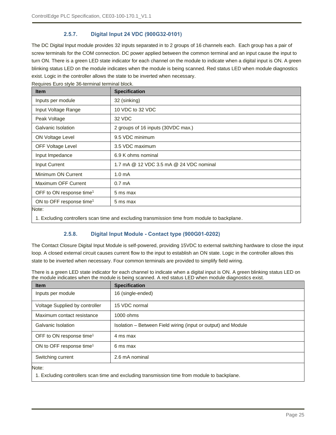#### **2.5.7. Digital Input 24 VDC (900G32-0101)**

<span id="page-24-0"></span>The DC Digital Input module provides 32 inputs separated in to 2 groups of 16 channels each. Each group has a pair of screw terminals for the COM connection. DC power applied between the common terminal and an input cause the input to turn ON. There is a green LED state indicator for each channel on the module to indicate when a digital input is ON. A green blinking status LED on the module indicates when the module is being scanned. Red status LED when module diagnostics exist. Logic in the controller allows the state to be inverted when necessary.

| <b>Item</b>                          | <b>Specification</b>                    |
|--------------------------------------|-----------------------------------------|
| Inputs per module                    | 32 (sinking)                            |
| Input Voltage Range                  | 10 VDC to 32 VDC                        |
| Peak Voltage                         | 32 VDC                                  |
| Galvanic Isolation                   | 2 groups of 16 inputs (30VDC max.)      |
| ON Voltage Level                     | 9.5 VDC minimum                         |
| <b>OFF Voltage Level</b>             | 3.5 VDC maximum                         |
| Input Impedance                      | 6.9 K ohms nominal                      |
| <b>Input Current</b>                 | 1.7 mA @ 12 VDC 3.5 mA @ 24 VDC nominal |
| Minimum ON Current                   | 1.0 <sub>m</sub> A                      |
| Maximum OFF Current                  | 0.7 <sub>m</sub> A                      |
| OFF to ON response time <sup>1</sup> | 5 ms max                                |
| ON to OFF response time <sup>1</sup> | 5 ms max                                |
| Note:                                |                                         |

Requires Euro style 36-terminal terminal block.

<span id="page-24-1"></span>1. Excluding controllers scan time and excluding transmission time from module to backplane.

#### **2.5.8. Digital Input Module - Contact type (900G01-0202)**

The Contact Closure Digital Input Module is self-powered, providing 15VDC to external switching hardware to close the input loop. A closed external circuit causes current flow to the input to establish an ON state. Logic in the controller allows this state to be inverted when necessary. Four common terminals are provided to simplify field wiring.

There is a green LED state indicator for each channel to indicate when a digital input is ON. A green blinking status LED on the module indicates when the module is being scanned. A red status LED when module diagnostics exist.

| <b>Item</b>                          | <b>Specification</b>                                                                                           |
|--------------------------------------|----------------------------------------------------------------------------------------------------------------|
| Inputs per module                    | 16 (single-ended)                                                                                              |
| Voltage Supplied by controller       | 15 VDC normal                                                                                                  |
| Maximum contact resistance           | 1000 ohms                                                                                                      |
| <b>Galvanic Isolation</b>            | Isolation – Between Field wiring (input or output) and Module                                                  |
| OFF to ON response time <sup>1</sup> | 4 ms max                                                                                                       |
| ON to OFF response time <sup>1</sup> | 6 ms max                                                                                                       |
| Switching current                    | 2.6 mA nominal                                                                                                 |
| Note:<br>.                           | restricted that the state of the state of the state of the state of the state of the state of the state of the |

1. Excluding controllers scan time and excluding transmission time from module to backplane.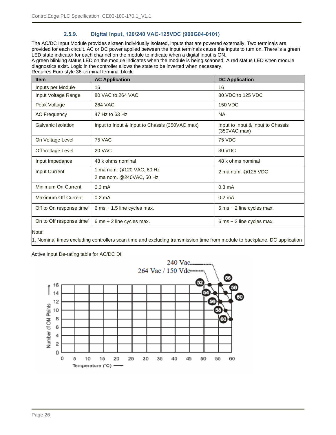#### **2.5.9. Digital Input, 120/240 VAC-125VDC (900G04-0101)**

<span id="page-25-0"></span>The AC/DC Input Module provides sixteen individually isolated, inputs that are powered externally. Two terminals are provided for each circuit. AC or DC power applied between the input terminals cause the inputs to turn on. There is a green LED state indicator for each channel on the module to indicate when a digital input is ON.

A green blinking status LED on the module indicates when the module is being scanned. A red status LED when module diagnostics exist. Logic in the controller allows the state to be inverted when necessary.

Requires Euro style 36-terminal terminal block. **Item AC Application AC Application DC Application** Inputs per Module 16 16 16 Input Voltage Range | 80 VAC to 264 VAC 80 V 80 VDC to 125 VDC Peak Voltage 264 VAC 2012 150 VDC AC Frequency 147 Hz to 63 Hz

| Galvanic Isolation                   | Input to Input & Input to Chassis (350VAC max)        | Input to Input & Input to Chassis<br>(350VAC max) |
|--------------------------------------|-------------------------------------------------------|---------------------------------------------------|
| On Voltage Level                     | <b>75 VAC</b>                                         | <b>75 VDC</b>                                     |
| Off Voltage Level                    | 20 VAC                                                | 30 VDC                                            |
| Input Impedance                      | 48 k ohms nominal                                     | 48 k ohms nominal                                 |
| <b>Input Current</b>                 | 1 ma nom. @120 VAC, 60 Hz<br>2 ma nom. @240VAC, 50 Hz | 2 ma nom. @125 VDC                                |
| Minimum On Current                   | $0.3 \text{ mA}$                                      | $0.3 \text{ mA}$                                  |
| Maximum Off Current                  | $0.2 \text{ mA}$                                      | $0.2 \text{ mA}$                                  |
| Off to On response time <sup>1</sup> | $6$ ms $+$ 1.5 line cycles max.                       | $6 \text{ ms} + 2 \text{ line cycles max.}$       |
| On to Off response time <sup>1</sup> | $6 \text{ ms} + 2 \text{ line cycles max.}$           | $6 \text{ ms} + 2 \text{ line cycles max.}$       |

Note:

1. Nominal times excluding controllers scan time and excluding transmission time from module to backplane. DC application

#### Active Input De-rating table for AC/DC DI

must include controller line filter setting of 500 Hz  $\sim$ 

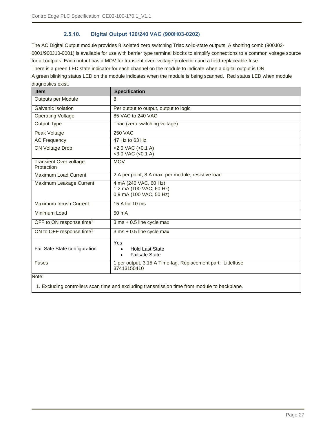#### **2.5.10. Digital Output 120/240 VAC (900H03-0202)**

<span id="page-26-0"></span>The AC Digital Output module provides 8 isolated zero switching Triac solid-state outputs. A shorting comb (900J02- 0001/900J10-0001) is available for use with barrier type terminal blocks to simplify connections to a common voltage source for all outputs. Each output has a MOV for transient over- voltage protection and a field-replaceable fuse.

There is a green LED state indicator for each channel on the module to indicate when a digital output is ON.

A green blinking status LED on the module indicates when the module is being scanned. Red status LED when module diagnostics exist.

| <b>Item</b>                                 | <b>Specification</b>                                                             |
|---------------------------------------------|----------------------------------------------------------------------------------|
| Outputs per Module                          | 8                                                                                |
| Galvanic Isolation                          | Per output to output, output to logic                                            |
| <b>Operating Voltage</b>                    | 85 VAC to 240 VAC                                                                |
| Output Type                                 | Triac (zero switching voltage)                                                   |
| Peak Voltage                                | <b>250 VAC</b>                                                                   |
| <b>AC Frequency</b>                         | 47 Hz to 63 Hz                                                                   |
| <b>ON Voltage Drop</b>                      | $<$ 2.0 VAC ( $>$ 0.1 A)<br>$<$ 3.0 VAC $(<$ 0.1 A)                              |
| <b>Transient Over voltage</b><br>Protection | <b>MOV</b>                                                                       |
| Maximum Load Current                        | 2 A per point, 8 A max. per module, resistive load                               |
| Maximum Leakage Current                     | 4 mA (240 VAC, 60 Hz)<br>1.2 mA (100 VAC, 60 Hz)<br>0.9 mA (100 VAC, 50 Hz)      |
| Maximum Inrush Current                      | 15 A for 10 ms                                                                   |
| Minimum Load                                | 50 mA                                                                            |
| OFF to ON response time <sup>1</sup>        | 3 ms + 0.5 line cycle max                                                        |
| ON to OFF response time <sup>1</sup>        | 3 ms + 0.5 line cycle max                                                        |
| Fail Safe State configuration               | Yes<br><b>Hold Last State</b><br>$\bullet$<br><b>Failsafe State</b><br>$\bullet$ |
| <b>Fuses</b>                                | 1 per output, 3.15 A Time-lag. Replacement part: Littelfuse<br>37413150410       |
| Note:                                       |                                                                                  |

1. Excluding controllers scan time and excluding transmission time from module to backplane.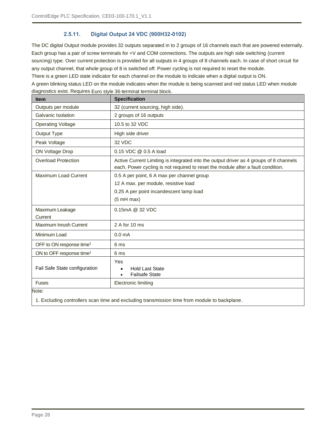#### **2.5.11. Digital Output 24 VDC (900H32-0102)**

<span id="page-27-0"></span>The DC digital Output module provides 32 outputs separated in to 2 groups of 16 channels each that are powered externally. Each group has a pair of screw terminals for +V and COM connections. The outputs are high side switching (current sourcing) type. Over current protection is provided for all outputs in 4 groups of 8 channels each. In case of short circuit for any output channel, that whole group of 8 is switched off. Power cycling is not required to reset the module.

There is a green LED state indicator for each channel on the module to indicate when a digital output is ON.

A green blinking status LED on the module indicates when the module is being scanned and red status LED when module diagnostics exist. Requires Euro style 36-terminal terminal block.

| <b>Item</b>                          | <b>Specification</b>                                                                                                                                                       |  |  |
|--------------------------------------|----------------------------------------------------------------------------------------------------------------------------------------------------------------------------|--|--|
| Outputs per module                   | 32 (current sourcing, high side).                                                                                                                                          |  |  |
| Galvanic Isolation                   | 2 groups of 16 outputs                                                                                                                                                     |  |  |
| <b>Operating Voltage</b>             | 10.5 to 32 VDC                                                                                                                                                             |  |  |
| Output Type                          | High side driver                                                                                                                                                           |  |  |
| Peak Voltage                         | 32 VDC                                                                                                                                                                     |  |  |
| ON Voltage Drop                      | 0.15 VDC @ 0.5 A load                                                                                                                                                      |  |  |
| <b>Overload Protection</b>           | Active Current Limiting is integrated into the output driver as 4 groups of 8 channels<br>each. Power cycling is not required to reset the module after a fault condition. |  |  |
| Maximum Load Current                 | 0.5 A per point, 6 A max per channel group<br>12 A max. per module, resistive load<br>0.25 A per point incandescent lamp load<br>(5 mH max)                                |  |  |
| Maximum Leakage<br>Current           | 0.15mA @ 32 VDC                                                                                                                                                            |  |  |
| Maximum Inrush Current               | 2 A for 10 ms                                                                                                                                                              |  |  |
| Minimum Load                         | 0.0 <sub>m</sub> A                                                                                                                                                         |  |  |
| OFF to ON response time <sup>1</sup> | 6 ms                                                                                                                                                                       |  |  |
| ON to OFF response time <sup>1</sup> | 6 ms                                                                                                                                                                       |  |  |
| Fail Safe State configuration        | Yes<br><b>Hold Last State</b><br>$\bullet$<br><b>Failsafe State</b>                                                                                                        |  |  |
| <b>Fuses</b>                         | Electronic limiting                                                                                                                                                        |  |  |
| Note:                                |                                                                                                                                                                            |  |  |

1. Excluding controllers scan time and excluding transmission time from module to backplane.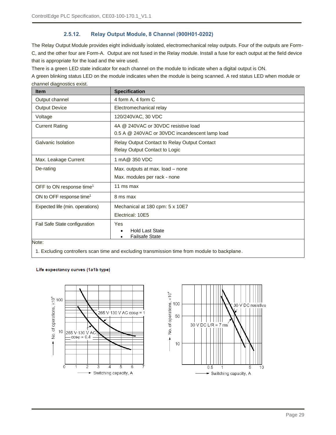#### **2.5.12. Relay Output Module, 8 Channel (900H01-0202)**

<span id="page-28-0"></span>The Relay Output Module provides eight individually isolated, electromechanical relay outputs. Four of the outputs are Form-C, and the other four are Form-A. Output are not fused in the Relay module. Install a fuse for each output at the field device that is appropriate for the load and the wire used.

There is a green LED state indicator for each channel on the module to indicate when a digital output is ON.

A green blinking status LED on the module indicates when the module is being scanned. A red status LED when module or channel diagnostics exist.

| <b>Item</b>                          | <b>Specification</b>                                |  |  |
|--------------------------------------|-----------------------------------------------------|--|--|
| Output channel                       | 4 form A, 4 form C                                  |  |  |
| <b>Output Device</b>                 | Electromechanical relay                             |  |  |
| Voltage                              | 120/240VAC, 30 VDC                                  |  |  |
| <b>Current Rating</b>                | 4A @ 240VAC or 30VDC resistive load                 |  |  |
|                                      | 0.5 A @ 240VAC or 30VDC incandescent lamp load      |  |  |
| Galvanic Isolation                   | <b>Relay Output Contact to Relay Output Contact</b> |  |  |
|                                      | Relay Output Contact to Logic                       |  |  |
| Max. Leakage Current                 | 1 mA@ 350 VDC                                       |  |  |
| De-rating                            | Max. outputs at max. load - none                    |  |  |
|                                      | Max. modules per rack - none                        |  |  |
| OFF to ON response time <sup>1</sup> | 11 ms max                                           |  |  |
| ON to OFF response time <sup>1</sup> | 8 ms max                                            |  |  |
| Expected life (min. operations)      | Mechanical at 180 cpm: 5 x 10E7                     |  |  |
|                                      | Electrical: 10E5                                    |  |  |
| Fail Safe State configuration        | <b>Yes</b>                                          |  |  |
|                                      | <b>Hold Last State</b><br>$\bullet$                 |  |  |
| Note:                                | <b>Failsafe State</b><br>٠                          |  |  |

1. Excluding controllers scan time and excluding transmission time from module to backplane.

#### Life expectancy curves (1a1b type)



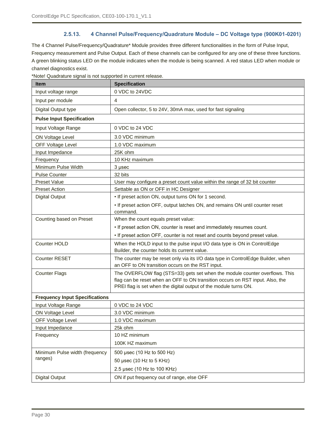#### **2.5.13. 4 Channel Pulse/Frequency/Quadrature Module – DC Voltage type (900K01-0201)**

<span id="page-29-0"></span>The 4 Channel Pulse/Frequency/Quadrature\* Module provides three different functionalities in the form of Pulse Input, Frequency measurement and Pulse Output. Each of these channels can be configured for any one of these three functions. A green blinking status LED on the module indicates when the module is being scanned. A red status LED when module or channel diagnostics exist.

\*Note! Quadrature signal is not supported in current release.

| <b>Item</b>                                                                                                                                                                                                                                              | <b>Specification</b>                                                                                                                 |  |  |
|----------------------------------------------------------------------------------------------------------------------------------------------------------------------------------------------------------------------------------------------------------|--------------------------------------------------------------------------------------------------------------------------------------|--|--|
| Input voltage range                                                                                                                                                                                                                                      | 0 VDC to 24VDC                                                                                                                       |  |  |
| Input per module                                                                                                                                                                                                                                         | $\overline{4}$                                                                                                                       |  |  |
| Digital Output type                                                                                                                                                                                                                                      | Open collector, 5 to 24V, 30mA max, used for fast signaling                                                                          |  |  |
| <b>Pulse Input Specification</b>                                                                                                                                                                                                                         |                                                                                                                                      |  |  |
| Input Voltage Range                                                                                                                                                                                                                                      | 0 VDC to 24 VDC                                                                                                                      |  |  |
| <b>ON Voltage Level</b>                                                                                                                                                                                                                                  | 3.0 VDC minimum                                                                                                                      |  |  |
| <b>OFF Voltage Level</b>                                                                                                                                                                                                                                 | 1.0 VDC maximum                                                                                                                      |  |  |
| Input Impedance                                                                                                                                                                                                                                          | 25K ohm                                                                                                                              |  |  |
| Frequency                                                                                                                                                                                                                                                | 10 KHz maximum                                                                                                                       |  |  |
| Minimum Pulse Width                                                                                                                                                                                                                                      | 3 µsec                                                                                                                               |  |  |
| <b>Pulse Counter</b>                                                                                                                                                                                                                                     | 32 bits                                                                                                                              |  |  |
| <b>Preset Value</b>                                                                                                                                                                                                                                      | User may configure a preset count value within the range of 32 bit counter                                                           |  |  |
| <b>Preset Action</b>                                                                                                                                                                                                                                     | Settable as ON or OFF in HC Designer                                                                                                 |  |  |
| <b>Digital Output</b>                                                                                                                                                                                                                                    | • If preset action ON, output turns ON for 1 second.                                                                                 |  |  |
|                                                                                                                                                                                                                                                          | . If preset action OFF, output latches ON, and remains ON until counter reset<br>command.                                            |  |  |
| Counting based on Preset                                                                                                                                                                                                                                 | When the count equals preset value:                                                                                                  |  |  |
|                                                                                                                                                                                                                                                          | . If preset action ON, counter is reset and immediately resumes count.                                                               |  |  |
|                                                                                                                                                                                                                                                          | . If preset action OFF, counter is not reset and counts beyond preset value.                                                         |  |  |
| Counter HOLD                                                                                                                                                                                                                                             | When the HOLD input to the pulse input I/O data type is ON in ControlEdge<br>Builder, the counter holds its current value.           |  |  |
| <b>Counter RESET</b>                                                                                                                                                                                                                                     | The counter may be reset only via its I/O data type in ControlEdge Builder, when<br>an OFF to ON transition occurs on the RST input. |  |  |
| The OVERFLOW flag (STS=33) gets set when the module counter overflows. This<br><b>Counter Flags</b><br>flag can be reset when an OFF to ON transition occurs on RST input. Also, the<br>PREI flag is set when the digital output of the module turns ON. |                                                                                                                                      |  |  |
| <b>Frequency Input Specifications</b>                                                                                                                                                                                                                    |                                                                                                                                      |  |  |
| Input Voltage Range                                                                                                                                                                                                                                      | 0 VDC to 24 VDC                                                                                                                      |  |  |
| ON Voltage Level                                                                                                                                                                                                                                         | 3.0 VDC minimum                                                                                                                      |  |  |
| <b>OFF Voltage Level</b>                                                                                                                                                                                                                                 | 1.0 VDC maximum                                                                                                                      |  |  |
| Input Impedance                                                                                                                                                                                                                                          | 25k ohm                                                                                                                              |  |  |
| Frequency                                                                                                                                                                                                                                                | 10 HZ minimum                                                                                                                        |  |  |
|                                                                                                                                                                                                                                                          | 100K HZ maximum                                                                                                                      |  |  |
| Minimum Pulse width (frequency                                                                                                                                                                                                                           | 500 µsec (10 Hz to 500 Hz)                                                                                                           |  |  |
| ranges)                                                                                                                                                                                                                                                  | 50 µsec (10 Hz to 5 KHz)                                                                                                             |  |  |
|                                                                                                                                                                                                                                                          | 2.5 µsec (10 Hz to 100 KHz)                                                                                                          |  |  |
| <b>Digital Output</b>                                                                                                                                                                                                                                    | ON if put frequency out of range, else OFF                                                                                           |  |  |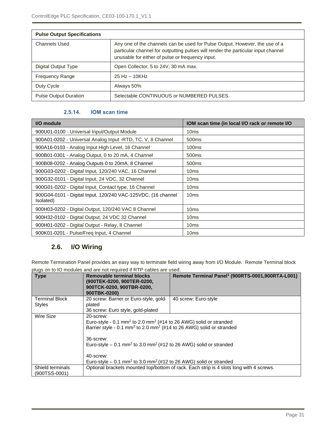| <b>Pulse Output Specifications</b> |                                                                                                                                                                                                                      |  |
|------------------------------------|----------------------------------------------------------------------------------------------------------------------------------------------------------------------------------------------------------------------|--|
| <b>Channels Used</b>               | Any one of the channels can be used for Pulse Output. However, the use of a<br>particular channel for outputting pulses will render the particular input channel<br>unusable for either of pulse or frequency input. |  |
| Digital Output Type                | Open Collector, 5 to 24V, 30 mA max.                                                                                                                                                                                 |  |
| <b>Frequency Range</b>             | $25$ Hz $-$ 10KHz                                                                                                                                                                                                    |  |
| Duty Cycle                         | Always 50%                                                                                                                                                                                                           |  |
| <b>Pulse Output Duration</b>       | Selectable CONTINUOUS or NUMBERED PULSES.                                                                                                                                                                            |  |

#### **2.5.14. IOM scan time**

<span id="page-30-0"></span>

| I/O module                                                                | IOM scan time (in local I/O rack or remote I/O |
|---------------------------------------------------------------------------|------------------------------------------------|
| 900U01-0100 - Universal Input/Output Module                               | 10 <sub>ms</sub>                               |
| 900A01-0202 - Universal Analog Input -RTD, TC, V, 8 Channel               | 500 <sub>ms</sub>                              |
| 900A16-0103 - Analog Input High Level, 16 Channel                         | 100 <sub>ms</sub>                              |
| 900B01-0301 - Analog Output, 0 to 20 mA, 4 Channel                        | 500 <sub>ms</sub>                              |
| 900B08-0202 - Analog Outputs 0 to 20mA, 8 Channel                         | 500 <sub>ms</sub>                              |
| 900G03-0202 - Digital Input, 120/240 VAC, 16 Channel                      | 10 <sub>ms</sub>                               |
| 900G32-0101 - Digital Input, 24 VDC, 32 Channel                           | 10 <sub>ms</sub>                               |
| 900G01-0202 - Digital Input, Contact type, 16 Channel                     | 10 <sub>ms</sub>                               |
| 900G04-0101 - Digital Input, 120/240 VAC-125VDC, (16 channel<br>Isolated) | 10ms                                           |
| 900H03-0202 - Digital Output, 120/240 VAC 8 Channel                       | 10 <sub>ms</sub>                               |
| 900H32-0102 - Digital Output, 24 VDC 32 Channel                           | 10 <sub>ms</sub>                               |
| 900H01-0202 - Digital Output - Relay, 8 Channel                           | 10 <sub>ms</sub>                               |
| 900K01-0201 - Pulse/Freg Input, 4 Channel                                 | 10ms                                           |

## <span id="page-30-1"></span>**2.6. I/O Wiring**

Remote Termination Panel provides an easy way to terminate field wiring away from I/O Module. Remote Terminal block plugs on to IO modules and are not required if RTP cables are used.

| <b>Type</b>                         | <b>Removable terminal blocks</b><br>(900TEK-0200, 900TER-0200,<br>900TCK-0200, 900TBR-0200,<br>900TBK-0200)                                                                                                                                                                                                                                                                                                                | Remote Terminal Panel <sup>1</sup> (900RTS-0001,900RTA-L001)                            |
|-------------------------------------|----------------------------------------------------------------------------------------------------------------------------------------------------------------------------------------------------------------------------------------------------------------------------------------------------------------------------------------------------------------------------------------------------------------------------|-----------------------------------------------------------------------------------------|
| <b>Terminal Block</b>               | 20 screw: Barrier or Euro-style, gold-                                                                                                                                                                                                                                                                                                                                                                                     | 40 screw: Euro-style                                                                    |
| <b>Styles</b>                       | plated<br>36 screw: Euro style, gold-plated                                                                                                                                                                                                                                                                                                                                                                                |                                                                                         |
| Wire Size                           | 20-screw:<br>Euro-style - 0.1 mm <sup>2</sup> to 2.0 mm <sup>2</sup> (#14 to 26 AWG) solid or stranded<br>Barrier style - 0.1 mm <sup>2</sup> to 2.0 mm <sup>2</sup> (#14 to 26 AWG) solid or stranded<br>36-screw:<br>Euro-style – 0.1 mm <sup>2</sup> to 3.0 mm <sup>2</sup> (#12 to 26 AWG) solid or stranded<br>40-screw:<br>Euro-style – 0.1 mm <sup>2</sup> to 3.0 mm <sup>2</sup> (#12 to 26 AWG) solid or stranded |                                                                                         |
| Shield terminals<br>$(900TSS-0001)$ |                                                                                                                                                                                                                                                                                                                                                                                                                            | Optional brackets mounted top/bottom of rack. Each strip is 4 slots long with 4 screws. |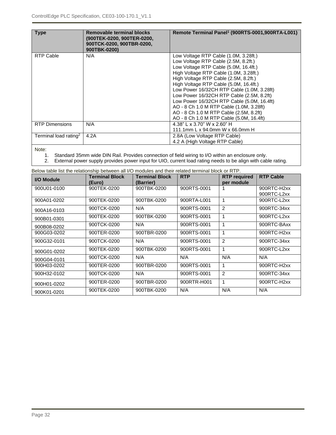| <b>Type</b>                       | Removable terminal blocks<br>(900TEK-0200, 900TER-0200,<br>900TCK-0200, 900TBR-0200,<br>900TBK-0200) | Remote Terminal Panel <sup>1</sup> (900RTS-0001,900RTA-L001) |
|-----------------------------------|------------------------------------------------------------------------------------------------------|--------------------------------------------------------------|
| RTP Cable                         | N/A                                                                                                  | Low Voltage RTP Cable (1.0M, 3.28ft.)                        |
|                                   |                                                                                                      | Low Voltage RTP Cable (2.5M, 8.2ft.)                         |
|                                   |                                                                                                      | Low Voltage RTP Cable (5.0M, 16.4ft.)                        |
|                                   |                                                                                                      | High Voltage RTP Cable (1.0M, 3.28ft.)                       |
|                                   |                                                                                                      | High Voltage RTP Cable (2.5M, 8.2ft.)                        |
|                                   |                                                                                                      | High Voltage RTP Cable (5.0M, 16.4ft.)                       |
|                                   |                                                                                                      | Low Power 16/32CH RTP Cable (1.0M, 3.28ft)                   |
|                                   |                                                                                                      | Low Power 16/32CH RTP Cable (2.5M, 8.2ft)                    |
|                                   |                                                                                                      | Low Power 16/32CH RTP Cable (5.0M, 16.4ft)                   |
|                                   |                                                                                                      | AO - 8 Ch 1.0 M RTP Cable (1.0M, 3.28ft)                     |
|                                   |                                                                                                      | AO - 8 Ch 1.0 M RTP Cable (2.5M, 8.2ft)                      |
|                                   |                                                                                                      | AO - 8 Ch 1.0 M RTP Cable (5.0M, 16.4ft)                     |
| <b>RTP Dimensions</b>             | N/A                                                                                                  | 4.38" L x 3.70" W x 2.60" H                                  |
|                                   |                                                                                                      | 111.1mm L x 94.0mm W x 66.0mm H                              |
| Terminal load rating <sup>2</sup> | 4.2A                                                                                                 | 2.8A (Low Voltage RTP Cable)                                 |
|                                   |                                                                                                      | 4.2 A (High Voltage RTP Cable)                               |

Note:

- 
- 1. Standard 35mm wide DIN Rail. Provides connection of field wiring to I/O within an enclosure only.<br>2. External power supply provides power input for UIO, current load rating needs to be align with cab External power supply provides power input for UIO, current load rating needs to be align with cable rating.

| Below table list the relationship between all I/O modules and their related terminal block or RTP. |                       |                       |             |                     |                  |
|----------------------------------------------------------------------------------------------------|-----------------------|-----------------------|-------------|---------------------|------------------|
| I/O Module                                                                                         | <b>Terminal Block</b> | <b>Terminal Block</b> | <b>RTP</b>  | <b>RTP</b> required | <b>RTP Cable</b> |
|                                                                                                    | (Euro)                | (Barrier)             |             | per module          |                  |
| 900U01-0100                                                                                        | 900TEK-0200           | 900TBK-0200           | 900RTS-0001 |                     | 900RTC-H2xx      |
|                                                                                                    |                       |                       |             |                     | 900RTC-L2xx      |
| 900A01-0202                                                                                        | 900TEK-0200           | 900TBK-0200           | 900RTA-L001 | 1                   | 900RTC-L2xx      |
| 900A16-0103                                                                                        | 900TCK-0200           | N/A                   | 900RTS-0001 | 2                   | 900RTC-34xx      |
| 900B01-0301                                                                                        | 900TEK-0200           | 900TBK-0200           | 900RTS-0001 | 1                   | 900RTC-L2xx      |
| 900B08-0202                                                                                        | 900TCK-0200           | N/A                   | 900RTS-0001 | 1                   | 900RTC-BAxx      |
| 900G03-0202                                                                                        | 900TER-0200           | 900TBR-0200           | 900RTS-0001 |                     | 900RTC-H2xx      |
| 900G32-0101                                                                                        | 900TCK-0200           | N/A                   | 900RTS-0001 | 2                   | 900RTC-34xx      |
| 900G01-0202                                                                                        | 900TEK-0200           | 900TBK-0200           | 900RTS-0001 | 1                   | 900RTC-L2xx      |
| 900G04-0101                                                                                        | 900TCK-0200           | N/A                   | N/A         | N/A                 | N/A              |
| 900H03-0202                                                                                        | 900TER-0200           | 900TBR-0200           | 900RTS-0001 |                     | 900RTC-H2xx      |
| 900H32-0102                                                                                        | 900TCK-0200           | N/A                   | 900RTS-0001 | 2                   | 900RTC-34xx      |
| 900H01-0202                                                                                        | 900TER-0200           | 900TBR-0200           | 900RTR-H001 | 1                   | 900RTC-H2xx      |
| 900K01-0201                                                                                        | 900TEK-0200           | 900TBK-0200           | N/A         | N/A                 | N/A              |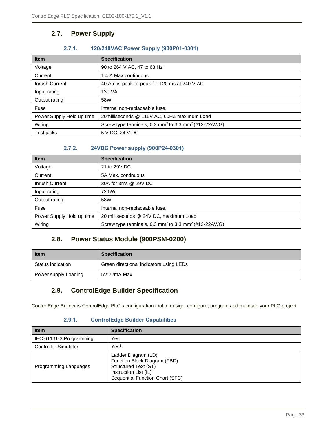## <span id="page-32-0"></span>**2.7. Power Supply**

#### **2.7.1. 120/240VAC Power Supply (900P01-0301)**

<span id="page-32-1"></span>

| <b>Item</b>               | <b>Specification</b>                                                         |  |
|---------------------------|------------------------------------------------------------------------------|--|
| Voltage                   | 90 to 264 V AC, 47 to 63 Hz                                                  |  |
| Current                   | 1.4 A Max continuous                                                         |  |
| Inrush Current            | 40 Amps peak-to-peak for 120 ms at 240 V AC                                  |  |
| Input rating              | 130 VA                                                                       |  |
| Output rating             | 58W                                                                          |  |
| Fuse                      | Internal non-replaceable fuse.                                               |  |
| Power Supply Hold up time | 20milliseconds @ 115V AC, 60HZ maximum Load                                  |  |
| Wiring                    | Screw type terminals, 0.3 mm <sup>2</sup> to 3.3 mm <sup>2</sup> (#12-22AWG) |  |
| Test jacks                | 5 V DC, 24 V DC                                                              |  |

#### **2.7.2. 24VDC Power supply (900P24-0301)**

<span id="page-32-2"></span>

| <b>Item</b>               | <b>Specification</b>                                                         |
|---------------------------|------------------------------------------------------------------------------|
| Voltage                   | 21 to 29V DC                                                                 |
| Current                   | 5A Max. continuous                                                           |
| Inrush Current            | 30A for 3ms @ 29V DC                                                         |
| Input rating              | 72.5W                                                                        |
| Output rating             | 58W                                                                          |
| Fuse                      | Internal non-replaceable fuse.                                               |
| Power Supply Hold up time | 20 milliseconds @ 24V DC, maximum Load                                       |
| Wiring                    | Screw type terminals, 0.3 mm <sup>2</sup> to 3.3 mm <sup>2</sup> (#12-22AWG) |

## **2.8. Power Status Module (900PSM-0200)**

<span id="page-32-3"></span>

| <b>Item</b>          | <b>Specification</b>                    |  |
|----------------------|-----------------------------------------|--|
| Status indication    | Green directional indicators using LEDs |  |
| Power supply Loading | 5V:22mA Max                             |  |

## <span id="page-32-4"></span>**2.9. ControlEdge Builder Specification**

<span id="page-32-5"></span>ControlEdge Builder is ControlEdge PLC's configuration tool to design, configure, program and maintain your PLC project

#### **2.9.1. ControlEdge Builder Capabilities**

| <b>Item</b>                 | <b>Specification</b>                                                                                                                    |
|-----------------------------|-----------------------------------------------------------------------------------------------------------------------------------------|
| IEC 61131-3 Programming     | Yes                                                                                                                                     |
| <b>Controller Simulator</b> | Yes <sup>1</sup>                                                                                                                        |
| Programming Languages       | Ladder Diagram (LD)<br>Function Block Diagram (FBD)<br>Structured Text (ST)<br>Instruction List (IL)<br>Sequential Function Chart (SFC) |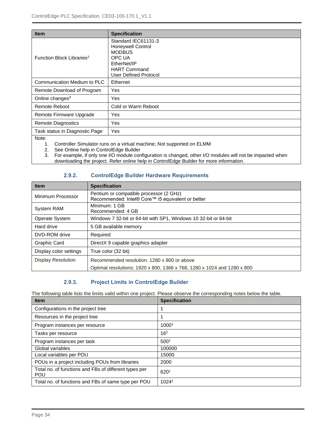| <b>Item</b>                           | <b>Specification</b>                                                                                                                             |  |
|---------------------------------------|--------------------------------------------------------------------------------------------------------------------------------------------------|--|
| Function Block Libraries <sup>2</sup> | Standard IEC61131-3<br><b>Honeywell Control</b><br><b>MODBUS</b><br>OPC UA<br>EtherNet/IP<br><b>HART Command</b><br><b>User Defined Protocol</b> |  |
| Communication Medium to PLC           | Ethernet                                                                                                                                         |  |
| Remote Download of Program            | Yes                                                                                                                                              |  |
| Online changes <sup>3</sup>           | Yes                                                                                                                                              |  |
| <b>Remote Reboot</b>                  | Cold or Warm Reboot                                                                                                                              |  |
| Remote Firmware Upgrade               | Yes                                                                                                                                              |  |
| <b>Remote Diagnostics</b>             | <b>Yes</b>                                                                                                                                       |  |
| Task status in Diagnostic Page        | Yes                                                                                                                                              |  |
| Note:                                 |                                                                                                                                                  |  |

1. Controller Simulator runs on a virtual machine; Not supported on ELMM

2. See Online help in ControlEdge Builder

3. For example, if only one I/O module configuration is changed, other I/O modules will not be impacted when downloading the project. Refer online help in ControlEdge Builder for more information.

#### **2.9.2. ControlEdge Builder Hardware Requirements**

<span id="page-33-0"></span>

| <b>Item</b>               | <b>Specification</b>                                                                         |
|---------------------------|----------------------------------------------------------------------------------------------|
| Minimum Processor         | Pentium or compatible processor (2 GHz)<br>Recommended: Intel® Core™ i5 equivalent or better |
| <b>System RAM</b>         | Minimum: 1 GB<br>Recommended: 4 GB                                                           |
| Operate System            | Windows 7 32-bit or 64-bit with SP1, Windows 10 32-bit or 64-bit                             |
| Hard drive                | 5 GB available memory                                                                        |
| DVD-ROM drive             | Required                                                                                     |
| <b>Graphic Card</b>       | DirectX 9 capable graphics adapter                                                           |
| Display color settings    | True color (32 bit)                                                                          |
| <b>Display Resolution</b> | Recommended resolution: 1280 x 800 or above                                                  |
|                           | Optimal resolutions: 1920 x 800, 1366 x 768, 1280 x 1024 and 1280 x 800                      |

#### **2.9.3. Project Limits in ControlEdge Builder**

<span id="page-33-1"></span>The following table lists the limits valid within one project. Please observe the corresponding notes below the table.

| <b>Item</b>                                                         | <b>Specification</b> |
|---------------------------------------------------------------------|----------------------|
| Configurations in the project tree                                  |                      |
| Resources in the project tree                                       |                      |
| Program instances per resource                                      | 10001                |
| Tasks per resource                                                  | 16 <sup>2</sup>      |
| Program instances per task                                          | 500 <sup>1</sup>     |
| Global variables                                                    | 100000               |
| Local variables per POU                                             | 15000                |
| POUs in a project including POUs from libraries                     | 2000                 |
| Total no. of functions and FBs of different types per<br><b>POU</b> | 6201                 |
| Total no. of functions and FBs of same type per POU                 | 1024 <sup>1</sup>    |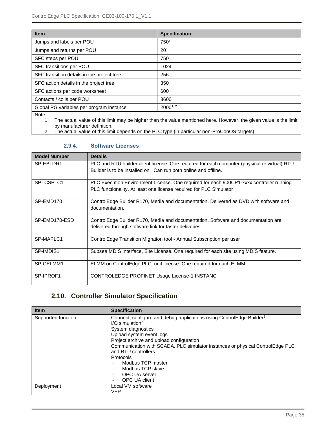| <b>Item</b>                                | <b>Specification</b> |
|--------------------------------------------|----------------------|
| Jumps and labels per POU                   | 750 <sup>1</sup>     |
| Jumps and returns per POU                  | 20 <sup>1</sup>      |
| SFC steps per POU                          | 750                  |
| SFC transitions per POU                    | 1024                 |
| SFC transition details in the project tree | 256                  |
| SFC action details in the project tree     | 350                  |
| SFC actions per code worksheet             | 600                  |
| Contacts / coils per POU                   | 3600                 |
| Global PG variables per program instance   | $2000^{1,2}$         |
| $\cdots$                                   |                      |

Note:

1. The actual value of this limit may be higher than the value mentioned here. However, the given value is the limit by manufacturer definition.

<span id="page-34-0"></span>2. The actual value of this limit depends on the PLC type (in particular non-ProConOS targets).

| <b>Model Number</b> | <b>Details</b>                                                                               |
|---------------------|----------------------------------------------------------------------------------------------|
| SP-EBLDR1           | PLC and RTU builder client license. One required for each computer (physical or virtual) RTU |
|                     | Builder is to be installed on. Can run both online and offline.                              |
| SP-CSPLC1           | PLC Execution Environment License. One required for each 900CP1-xxxx controller running      |
|                     | PLC functionality. At least one license required for PLC Simulator                           |
| SP-EMD170           | ControlEdge Builder R170, Media and documentation. Delivered as DVD with software and        |
|                     | documentation.                                                                               |
| SP-EMD170-ESD       | ControlEdge Builder R170, Media and documentation. Software and documentation are            |
|                     | delivered through software link for faster deliveries.                                       |
| SP-MAPLC1           | ControlEdge Transition Migration tool - Annual Subscription per user                         |
| SP-IMDIS1           | Subsea MDIS Interface, Site License. One required for each site using MDIS feature.          |
| SP-CELMM1           | ELMM on ControlEdge PLC, unit license. One required for each ELMM.                           |
| SP-IPROF1           | CONTROLEDGE PROFINET Usage License-1 INSTANC                                                 |

#### **2.9.4. Software Licenses**

## **2.10. Controller Simulator Specification**

<span id="page-34-1"></span>

| <b>Item</b>        | <b>Specification</b>                                                             |
|--------------------|----------------------------------------------------------------------------------|
| Supported function | Connect, configure and debug applications using ControlEdge Builder <sup>1</sup> |
|                    | $I/O$ simulation <sup>2</sup>                                                    |
|                    | System diagnostics                                                               |
|                    | Upload system event logs                                                         |
|                    | Project archive and upload configuration                                         |
|                    | Communication with SCADA, PLC simulator instances or physical ControlEdge PLC    |
|                    | and RTU controllers                                                              |
|                    | Protocols                                                                        |
|                    | Modbus TCP master                                                                |
|                    | Modbus TCP slave                                                                 |
|                    | OPC UA server                                                                    |
|                    | OPC UA client                                                                    |
| Deployment         | Local VM software                                                                |
|                    | VEP                                                                              |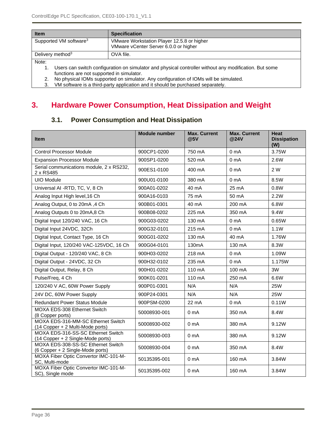| <b>Item</b>                        | <b>Specification</b>                                                                                                                                |  |  |
|------------------------------------|-----------------------------------------------------------------------------------------------------------------------------------------------------|--|--|
| Supported VM software <sup>3</sup> | VMware Workstation Player 12.5.8 or higher<br>VMware vCenter Server 6.0.0 or higher                                                                 |  |  |
| Delivery method <sup>3</sup>       | OVA file.                                                                                                                                           |  |  |
| Note:                              |                                                                                                                                                     |  |  |
|                                    | Users can switch configuration on simulator and physical controller without any modification. But some<br>functions are not supported in simulator. |  |  |
|                                    | No physical IOMs supported on simulator. Any configuration of IOMs will be simulated.                                                               |  |  |

3. VM software is a third-party application and it should be purchased separately.

## <span id="page-35-1"></span><span id="page-35-0"></span>**3. Hardware Power Consumption, Heat Dissipation and Weight**

## **3.1. Power Consumption and Heat Dissipation**

| <b>Item</b>                                                             | <b>Module</b> number | <b>Max. Current</b><br>@5V | <b>Max. Current</b><br>@24V | <b>Heat</b><br><b>Dissipation</b><br>(W) |
|-------------------------------------------------------------------------|----------------------|----------------------------|-----------------------------|------------------------------------------|
| <b>Control Processor Module</b>                                         | 900CP1-0200          | 750 mA                     | 0 <sub>m</sub> A            | 3.75W                                    |
| <b>Expansion Processor Module</b>                                       | 900SP1-0200          | 520 mA                     | 0 <sub>m</sub> A            | 2.6W                                     |
| Serial communications module, 2 x RS232,<br>2 x RS485                   | 900ES1-0100          | 400 mA                     | 0 <sub>m</sub> A            | 2 W                                      |
| <b>UIO Module</b>                                                       | 900U01-0100          | 380 mA                     | 0 <sub>m</sub> A            | 8.5W                                     |
| Universal AI -RTD, TC, V, 8 Ch                                          | 900A01-0202          | 40 mA                      | 25 mA                       | 0.8W                                     |
| Analog Input High level, 16 Ch                                          | 900A16-0103          | 75 mA                      | 50 mA                       | 2.2W                                     |
| Analog Output, 0 to 20mA, 4 Ch                                          | 900B01-0301          | 40 mA                      | 200 mA                      | 6.8W                                     |
| Analog Outputs 0 to 20mA,8 Ch                                           | 900B08-0202          | 225 mA                     | 350 mA                      | 9.4W                                     |
| Digital Input 120/240 VAC, 16 Ch                                        | 900G03-0202          | 130 mA                     | 0 <sub>m</sub> A            | 0.65W                                    |
| Digital Input 24VDC, 32Ch                                               | 900G32-0101          | 215 mA                     | 0 <sub>m</sub> A            | 1.1W                                     |
| Digital Input, Contact Type, 16 Ch                                      | 900G01-0202          | 130 mA                     | 40 mA                       | 1.76W                                    |
| Digital Input, 120/240 VAC-125VDC, 16 Ch                                | 900G04-0101          | 130 <sub>m</sub> A         | 130 mA                      | 8.3W                                     |
| Digital Output - 120/240 VAC, 8 Ch                                      | 900H03-0202          | 218 mA                     | 0 <sub>m</sub> A            | 1.09W                                    |
| Digital Output - 24VDC, 32 Ch                                           | 900H32-0102          | 235 mA                     | 0 <sub>m</sub> A            | 1.175W                                   |
| Digital Output, Relay, 8 Ch                                             | 900H01-0202          | 110 mA                     | 100 mA                      | 3W                                       |
| Pulse/Freq, 4 Ch                                                        | 900K01-0201          | 110 mA                     | 250 mA                      | 6.6W                                     |
| 120/240 V AC, 60W Power Supply                                          | 900P01-0301          | N/A                        | N/A                         | <b>25W</b>                               |
| 24V DC, 60W Power Supply                                                | 900P24-0301          | N/A                        | N/A                         | <b>25W</b>                               |
| <b>Redundant Power Status Module</b>                                    | 900PSM-0200          | 22 mA                      | 0 <sub>m</sub> A            | 0.11W                                    |
| MOXA EDS-308 Ethernet Switch<br>(8 Copper ports)                        | 50008930-001         | 0 <sub>m</sub> A           | 350 mA                      | 8.4W                                     |
| MOXA EDS-316-MM-SC Ethernet Switch<br>(14 Copper + 2 Multi-Mode ports)  | 50008930-002         | 0 <sub>m</sub> A           | 380 mA                      | 9.12W                                    |
| MOXA EDS-316-SS-SC Ethernet Switch<br>(14 Copper + 2 Single-Mode ports) | 50008930-003         | 0 <sub>m</sub> A           | 380 mA                      | 9.12W                                    |
| MOXA EDS-308-SS-SC Ethernet Switch<br>(6 Copper + 2 Single-Mode ports)  | 50008930-004         | 0 <sub>m</sub> A           | 350 mA                      | 8.4W                                     |
| MOXA Fiber Optic Convertor IMC-101-M-<br>SC, Multi-mode                 | 50135395-001         | 0 <sub>m</sub> A           | 160 mA                      | 3.84W                                    |
| MOXA Fiber Optic Convertor IMC-101-M-<br>SC), Single mode               | 50135395-002         | 0 <sub>m</sub> A           | 160 mA                      | 3.84W                                    |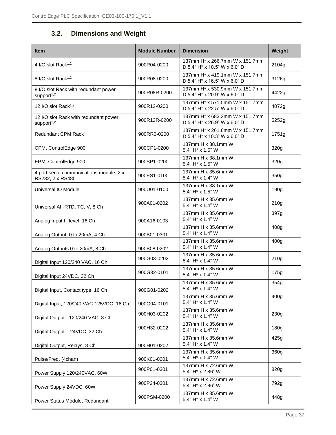## **3.2. Dimensions and Weight**

<span id="page-36-0"></span>

| <b>Item</b>                                                     | <b>Module Number</b> | <b>Dimension</b>                                               | Weight           |
|-----------------------------------------------------------------|----------------------|----------------------------------------------------------------|------------------|
| 4 I/O slot Rack <sup>1,2</sup>                                  | 900R04-0200          | 137mm H* x 266.7mm W x 151.7mm<br>D 5.4" H* x 10.5" W x 6.0" D | 2104g            |
| 8 I/O slot Rack <sup>1,2</sup>                                  | 900R08-0200          | 137mm H* x 419.1mm W x 151.7mm<br>D 5.4" H* x 16.5" W x 6.0" D | 3126g            |
| 8 I/O slot Rack with redundant power<br>support <sup>1,2</sup>  | 900R08R-0200         | 137mm H* x 530.9mm W x 151.7mm<br>D 5.4" H* x 20.9" W x 6.0" D | 4422g            |
| 12 I/O slot Rack <sup>1,2</sup>                                 | 900R12-0200          | 137mm H* x 571.5mm W x 151.7mm<br>D 5.4" H* x 22.5" W x 6.0" D | 4072g            |
| 12 I/O slot Rack with redundant power<br>support <sup>1,2</sup> | 900R12R-0200         | 137mm H* x 683.3mm W x 151.7mm<br>D 5.4" H* x 26.9" W x 6.0" D | 5252g            |
| Redundant CPM Rack <sup>1,2</sup>                               | 900RR0-0200          | 137mm H* x 261.6mm W x 151.7mm<br>D 5.4" H* x 10.3" W x 6.0" D | 1751g            |
| CPM, ControlEdge 900                                            | 900CP1-0200          | 137mm H x 38.1mm W<br>5.4" H* x 1.5" W                         | 320g             |
| EPM, ControlEdge 900                                            | 900SP1-0200          | 137mm H x 38.1mm W<br>5.4" H* x 1.5" W                         | 320g             |
| 4 port serial communications module, 2 x<br>RS232, 2 x RS485    | 900ES1-0100          | 137mm H x 35.6mm W<br>5.4" H* x 1.4" W                         | 350g             |
| <b>Universal IO Module</b>                                      | 900U01-0100          | 137mm H x 38.1mm W<br>5.4" H* x 1.5" W                         | 190 <sub>g</sub> |
| Universal AI -RTD, TC, V, 8 Ch                                  | 900A01-0202          | 137mm H x 35.6mm W<br>5.4" H* x 1.4" W                         | 210g             |
| Analog Input hi level, 16 Ch                                    | 900A16-0103          | 137mm H x 35.6mm W<br>5.4" H* x 1.4" W                         | 397g             |
| Analog Output, 0 to 20mA, 4 Ch                                  | 900B01-0301          | 137mm H x 35.6mm W<br>5.4" H* x 1.4" W                         | 408g             |
| Analog Outputs 0 to 20mA, 8 Ch                                  | 900B08-0202          | 137mm H x 35.6mm W<br>5.4" H* x 1.4" W                         | 400 <sub>g</sub> |
| Digital Input 120/240 VAC, 16 Ch                                | 900G03-0202          | 137mm H x 35.6mm W<br>5.4" H* x 1.4" W                         | 210g             |
| Digital Input 24VDC, 32 Ch                                      | 900G32-0101          | 137mm H x 35.6mm W<br>5.4" H* x 1.4" W                         | 175g             |
| Digital Input, Contact type, 16 Ch                              | 900G01-0202          | 137mm H x 35.6mm W<br>5.4" H* x 1.4" W                         | 354g             |
| Digital Input, 120/240 VAC-125VDC, 16 Ch                        | 900G04-0101          | 137mm H x 35.6mm W<br>5.4" H* x 1.4" W                         | 400 <sub>q</sub> |
| Digital Output - 120/240 VAC, 8 Ch                              | 900H03-0202          | 137mm H x 35.6mm W<br>5.4" H* x 1.4" W                         | 230g             |
| Digital Output - 24VDC, 32 Ch                                   | 900H32-0202          | 137mm H x 35.6mm W<br>5.4" H* x 1.4" W                         | 180g             |
| Digital Output, Relays, 8 Ch                                    | 900H01-0202          | 137mm H x 35.6mm W<br>5.4" H* x 1.4" W                         | 425g             |
| Pulse/Freq, (4chan)                                             | 900K01-0201          | 137mm H x 35.6mm W<br>5.4" H* x 1.4" W                         | 360g             |
| Power Supply 120/240VAC, 60W                                    | 900P01-0301          | 137mm H x 72.6mm W<br>5.4" H* x 2.86" W                        | 820g             |
| Power Supply 24VDC, 60W                                         | 900P24-0301          | 137mm H x 72.6mm W<br>5.4" H* x 2.86" W                        | 792g             |
| Power Status Module, Redundant                                  | 900PSM-0200          | 137mm H x 35.6mm W<br>5.4" H* x 1.4" W                         | 448g             |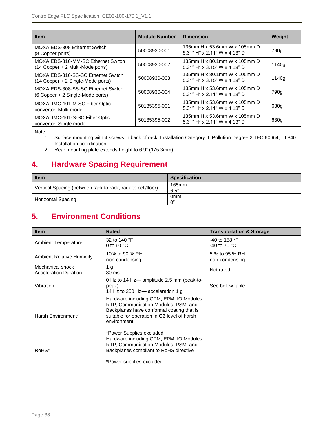| <b>Item</b>                                                             | <b>Module Number</b> | <b>Dimension</b>                                                             | Weight |
|-------------------------------------------------------------------------|----------------------|------------------------------------------------------------------------------|--------|
| MOXA EDS-308 Ethernet Switch<br>(8 Copper ports)                        | 50008930-001         | 135mm H x 53.6mm W x 105mm D<br>5.31" $H^* \times 2.11$ " W $\times$ 4.13" D | 790a   |
| MOXA EDS-316-MM-SC Ethernet Switch<br>(14 Copper + 2 Multi-Mode ports)  | 50008930-002         | 135mm H x 80.1mm W x 105mm D<br>5.31" H* x 3.15" W x 4.13" D                 | 1140g  |
| MOXA EDS-316-SS-SC Ethernet Switch<br>(14 Copper + 2 Single-Mode ports) | 50008930-003         | 135mm H x 80.1mm W x 105mm D<br>5.31" H* x 3.15" W x 4.13" D                 | 1140g  |
| MOXA EDS-308-SS-SC Ethernet Switch<br>(6 Copper + 2 Single-Mode ports)  | 50008930-004         | 135mm H x 53.6mm W x 105mm D<br>5.31" H* x 2.11" W x 4.13" D                 | 790a   |
| MOXA: IMC-101-M-SC Fiber Optic<br>convertor, Multi-mode                 | 50135395-001         | 135mm H x 53.6mm W x 105mm D<br>5.31" H <sup>*</sup> x 2.11" W x 4.13" D     | 630g   |
| MOXA: IMC-101-S-SC Fiber Optic<br>convertor, Single mode                | 50135395-002         | 135mm H x 53.6mm W x 105mm D<br>5.31" H* x 2.11" W x 4.13" D                 | 630g   |

Note:

1. Surface mounting with 4 screws in back of rack. Installation Category II, Pollution Degree 2, IEC 60664, UL840 Installation coordination.

2. Rear mounting plate extends height to 6.9" (175.3mm).

## <span id="page-37-0"></span>**4. Hardware Spacing Requirement**

| <b>Item</b>                                                 | <b>Specification</b>    |
|-------------------------------------------------------------|-------------------------|
| Vertical Spacing (between rack to rack, rack to cell/floor) | 165mm<br>6.5"           |
| <b>Horizontal Spacing</b>                                   | 0 <sub>mm</sub><br>. റ" |

## <span id="page-37-1"></span>**5. Environment Conditions**

| <b>Item</b>                                      | <b>Rated</b>                                                                                                                                                                                                             | <b>Transportation &amp; Storage</b>              |
|--------------------------------------------------|--------------------------------------------------------------------------------------------------------------------------------------------------------------------------------------------------------------------------|--------------------------------------------------|
| <b>Ambient Temperature</b>                       | 32 to 140 °F<br>0 to 60 $^{\circ}$ C                                                                                                                                                                                     | -40 to 158 $\degree$ F<br>-40 to 70 $^{\circ}$ C |
| <b>Ambient Relative Humidity</b>                 | 10% to 90 % RH<br>non-condensing                                                                                                                                                                                         | 5 % to 95 % RH<br>non-condensing                 |
| Mechanical shock<br><b>Acceleration Duration</b> | 1 <sub>g</sub><br>30 ms                                                                                                                                                                                                  | Not rated                                        |
| Vibration                                        | 0 Hz to 14 Hz-amplitude 2.5 mm (peak-to-<br>peak)<br>14 Hz to 250 Hz-acceleration 1 g                                                                                                                                    | See below table                                  |
| Harsh Environment*                               | Hardware including CPM, EPM, IO Modules,<br>RTP, Communication Modules, PSM, and<br>Backplanes have conformal coating that is<br>suitable for operation in G3 level of harsh<br>environment.<br>*Power Supplies excluded |                                                  |
| RoHS*                                            | Hardware including CPM, EPM, IO Modules,<br>RTP, Communication Modules, PSM, and<br>Backplanes compliant to RoHS directive<br>*Power supplies excluded                                                                   |                                                  |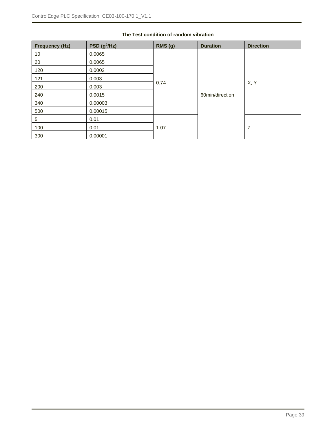| <b>Frequency (Hz)</b> | PSD(g <sup>2</sup> /Hz) | RMS(g) | <b>Duration</b> | <b>Direction</b> |
|-----------------------|-------------------------|--------|-----------------|------------------|
| 10                    | 0.0065                  |        |                 |                  |
| 20                    | 0.0065                  |        |                 |                  |
| 120                   | 0.0002                  |        |                 |                  |
| 121                   | 0.003                   |        |                 |                  |
| 200                   | 0.003                   | 0.74   |                 | X, Y             |
| 240                   | 0.0015                  |        | 60min/direction |                  |
| 340                   | 0.00003                 |        |                 |                  |
| 500                   | 0.00015                 |        |                 |                  |
| 5                     | 0.01                    |        |                 |                  |
| 100                   | 0.01                    | 1.07   |                 | Z                |
| 300                   | 0.00001                 |        |                 |                  |

#### **The Test condition of random vibration**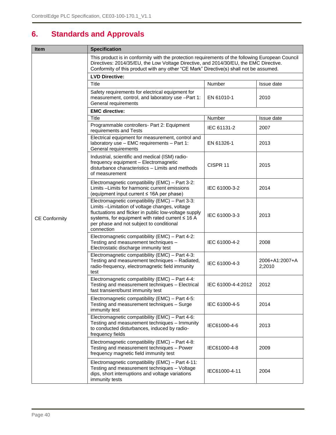## <span id="page-39-0"></span>**6. Standards and Approvals**

| <b>Item</b>          | <b>Specification</b>                                                                                                                                                                                                                                                                |                     |                          |
|----------------------|-------------------------------------------------------------------------------------------------------------------------------------------------------------------------------------------------------------------------------------------------------------------------------------|---------------------|--------------------------|
|                      | This product is in conformity with the protection requirements of the following European Council<br>Directives: 2014/35/EU, the Low Voltage Directive, and 2014/30/EU, the EMC Directive.<br>Conformity of this product with any other "CE Mark" Directive(s) shall not be assumed. |                     |                          |
|                      | <b>LVD Directive:</b>                                                                                                                                                                                                                                                               |                     |                          |
|                      | Title                                                                                                                                                                                                                                                                               | Number              | Issue date               |
|                      | Safety requirements for electrical equipment for<br>measurement, control, and laboratory use -Part 1:<br>General requirements                                                                                                                                                       | EN 61010-1          | 2010                     |
|                      | <b>EMC directive:</b>                                                                                                                                                                                                                                                               |                     |                          |
|                      | <b>Title</b>                                                                                                                                                                                                                                                                        | Number              | Issue date               |
|                      | Programmable controllers- Part 2: Equipment<br>requirements and Tests                                                                                                                                                                                                               | IEC 61131-2         | 2007                     |
|                      | Electrical equipment for measurement, control and<br>laboratory use - EMC requirements - Part 1:<br>General requirements                                                                                                                                                            | EN 61326-1          | 2013                     |
|                      | Industrial, scientific and medical (ISM) radio-<br>frequency equipment - Electromagnetic<br>disturbance characteristics - Limits and methods<br>of measurement                                                                                                                      | CISPR <sub>11</sub> | 2015                     |
|                      | Electromagnetic compatibility (EMC) - Part 3-2:<br>Limits -Limits for harmonic current emissions<br>(equipment input current ≤ 16A per phase)                                                                                                                                       | IEC 61000-3-2       | 2014                     |
| <b>CE Conformity</b> | Electromagnetic compatibility (EMC) - Part 3-3:<br>Limits-Limitation of voltage changes, voltage<br>fluctuations and flicker in public low-voltage supply<br>systems, for equipment with rated current ≤ 16 A<br>per phase and not subject to conditional<br>connection             | IEC 61000-3-3       | 2013                     |
|                      | Electromagnetic compatibility (EMC) - Part 4-2:<br>Testing and measurement techniques -<br>Electrostatic discharge immunity test                                                                                                                                                    | IEC 61000-4-2       | 2008                     |
|                      | Electromagnetic compatibility (EMC) - Part 4-3:<br>Testing and measurement techniques - Radiated,<br>radio-frequency, electromagnetic field immunity<br>test                                                                                                                        | IEC 61000-4-3       | 2006+A1:2007+A<br>2;2010 |
|                      | Electromagnetic compatibility (EMC) - Part 4-4:<br>Testing and measurement techniques - Electrical<br>fast transient/burst immunity test                                                                                                                                            | IEC 61000-4-4:2012  | 2012                     |
|                      | Electromagnetic compatibility (EMC) - Part 4-5:<br>Testing and measurement techniques - Surge<br>immunity test                                                                                                                                                                      | IEC 61000-4-5       | 2014                     |
|                      | Electromagnetic compatibility (EMC) - Part 4-6:<br>Testing and measurement techniques - Immunity<br>to conducted disturbances, induced by radio-<br>frequency fields                                                                                                                | IEC61000-4-6        | 2013                     |
|                      | Electromagnetic compatibility (EMC) - Part 4-8:<br>Testing and measurement techniques - Power<br>frequency magnetic field immunity test                                                                                                                                             | IEC61000-4-8        | 2009                     |
|                      | Electromagnetic compatibility (EMC) - Part 4-11:<br>Testing and measurement techniques - Voltage<br>dips, short interruptions and voltage variations<br>immunity tests                                                                                                              | IEC61000-4-11       | 2004                     |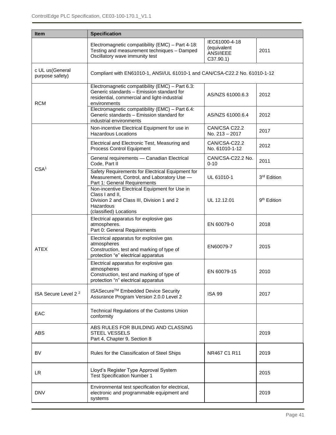| <b>Item</b>                        | <b>Specification</b>                                                                                                                                         |                                                       |                         |
|------------------------------------|--------------------------------------------------------------------------------------------------------------------------------------------------------------|-------------------------------------------------------|-------------------------|
|                                    | Electromagnetic compatibility (EMC) - Part 4-18:<br>Testing and measurement techniques - Damped<br>Oscillatory wave immunity test                            | IEC61000-4-18<br>(equivalent<br>ANSI/IEEE<br>C37.90.1 | 2011                    |
| c UL us(General<br>purpose safety) | Compliant with EN61010-1, ANSI/UL 61010-1 and CAN/CSA-C22.2 No. 61010-1-12                                                                                   |                                                       |                         |
| <b>RCM</b>                         | Electromagnetic compatibility (EMC) - Part 6.3:<br>Generic standards - Emission standard for<br>residential, commercial and light-industrial<br>environments | AS/NZS 61000.6.3                                      | 2012                    |
|                                    | Electromagnetic compatibility (EMC) - Part 6.4:<br>Generic standards - Emission standard for<br>industrial environments                                      | AS/NZS 61000.6.4                                      | 2012                    |
|                                    | Non-incentive Electrical Equipment for use in<br><b>Hazardous Locations</b>                                                                                  | CAN/CSA C22.2<br>No. 213 - 2017                       | 2017                    |
|                                    | Electrical and Electronic Test, Measuring and<br>Process Control Equipment                                                                                   | CAN/CSA-C22.2<br>No. 61010-1-12                       | 2012                    |
|                                    | General requirements - Canadian Electrical<br>Code, Part II                                                                                                  | CAN/CSA-C22.2 No.<br>$0 - 10$                         | 2011                    |
| CSA <sup>1</sup>                   | Safety Requirements for Electrical Equipment for<br>Measurement, Control, and Laboratory Use -<br>Part 1: General Requirements                               | UL 61010-1                                            | 3rd Edition             |
|                                    | Non-incentive Electrical Equipment for Use in<br>Class I and II,<br>Division 2 and Class III, Division 1 and 2<br>Hazardous<br>(classified) Locations        | UL 12.12.01                                           | 9 <sup>th</sup> Edition |
|                                    | Electrical apparatus for explosive gas<br>atmospheres.<br>Part 0: General Requirements                                                                       | EN 60079-0                                            | 2018                    |
| <b>ATEX</b>                        | Electrical apparatus for explosive gas<br>atmospheres<br>Construction, test and marking of type of<br>protection "e" electrical apparatus                    | EN60079-7                                             | 2015                    |
|                                    | Electrical apparatus for explosive gas<br>atmospheres<br>Construction, test and marking of type of<br>protection "n" electrical apparatus                    | EN 60079-15                                           | 2010                    |
| ISA Secure Level 2 <sup>2</sup>    | ISASecure <sup>™</sup> Embedded Device Security<br>Assurance Program Version 2.0.0 Level 2                                                                   | <b>ISA 99</b>                                         | 2017                    |
| EAC                                | Technical Regulations of the Customs Union<br>conformity                                                                                                     |                                                       |                         |
| <b>ABS</b>                         | ABS RULES FOR BUILDING AND CLASSING<br><b>STEEL VESSELS</b><br>Part 4, Chapter 9, Section 8                                                                  |                                                       | 2019                    |
| BV                                 | Rules for the Classification of Steel Ships                                                                                                                  | NR467 C1 R11                                          | 2019                    |
| LR.                                | Lloyd's Register Type Approval System<br><b>Test Specification Number 1</b>                                                                                  |                                                       | 2015                    |
| <b>DNV</b>                         | Environmental test specification for electrical,<br>electronic and programmable equipment and<br>systems                                                     |                                                       | 2019                    |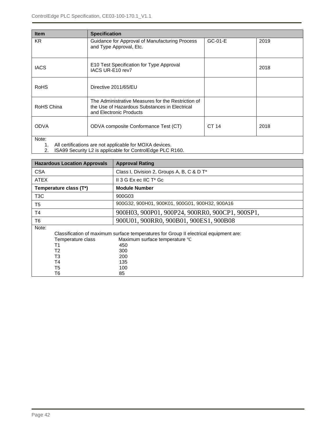| <b>Item</b>                                                     | <b>Specification</b>                                                                                                           |         |      |
|-----------------------------------------------------------------|--------------------------------------------------------------------------------------------------------------------------------|---------|------|
| <b>KR</b>                                                       | Guidance for Approval of Manufacturing Process<br>and Type Approval, Etc.                                                      | GC-01-E | 2019 |
| <b>IACS</b>                                                     | E10 Test Specification for Type Approval<br>IACS UR-E10 rev7                                                                   |         | 2018 |
| <b>RoHS</b>                                                     | Directive 2011/65/EU                                                                                                           |         |      |
| RoHS China                                                      | The Administrative Measures for the Restriction of<br>the Use of Hazardous Substances in Electrical<br>and Electronic Products |         |      |
| <b>ODVA</b>                                                     | ODVA composite Conformance Test (CT)                                                                                           | CT 14   | 2018 |
| Note:<br>All cartifications are not applicable for MOXA devices |                                                                                                                                |         |      |

1. All certifications are not applicable for MOXA devices.

2. ISA99 Security L2 is applicable for ControlEdge PLC R160.

| <b>Hazardous Location Approvals</b>                      | <b>Approval Rating</b>                                                                                                                                     |
|----------------------------------------------------------|------------------------------------------------------------------------------------------------------------------------------------------------------------|
| <b>CSA</b>                                               | Class I, Division 2, Groups A, B, C & D T*                                                                                                                 |
| <b>ATEX</b>                                              | II 3 G Ex ec IIC $T^*$ Gc                                                                                                                                  |
| Temperature class (T*)                                   | <b>Module Number</b>                                                                                                                                       |
| T3C                                                      | 900G03                                                                                                                                                     |
| T5                                                       | 900G32, 900H01, 900K01, 900G01, 900H32, 900A16                                                                                                             |
| Τ4                                                       | 900H03, 900P01, 900P24, 900RR0, 900CP1, 900SP1,                                                                                                            |
| T6                                                       | 900U01, 900RR0, 900B01, 900ES1, 900B08                                                                                                                     |
| Note:<br>Temperature class<br>T1<br>T2<br>T3<br>Τ4<br>T5 | Classification of maximum surface temperatures for Group II electrical equipment are:<br>Maximum surface temperature °C<br>450<br>300<br>200<br>135<br>100 |
| Т6                                                       | 85                                                                                                                                                         |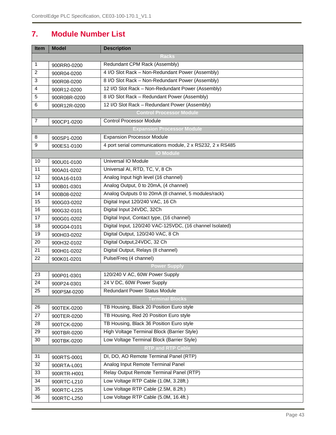## <span id="page-42-0"></span>**7. Module Number List**

| Item                     | <b>Model</b> | <b>Description</b>                                        |  |  |
|--------------------------|--------------|-----------------------------------------------------------|--|--|
|                          | <b>Racks</b> |                                                           |  |  |
| 1                        | 900RR0-0200  | Redundant CPM Rack (Assembly)                             |  |  |
| $\overline{2}$           | 900R04-0200  | 4 I/O Slot Rack - Non-Redundant Power (Assembly)          |  |  |
| 3                        | 900R08-0200  | 8 I/O Slot Rack - Non-Redundant Power (Assembly)          |  |  |
| 4                        | 900R12-0200  | 12 I/O Slot Rack - Non-Redundant Power (Assembly)         |  |  |
| 5                        | 900R08R-0200 | 8 I/O Slot Rack - Redundant Power (Assembly)              |  |  |
| $\,6$                    | 900R12R-0200 | 12 I/O Slot Rack - Redundant Power (Assembly)             |  |  |
|                          |              | <b>Control Processor Module</b>                           |  |  |
| 7                        | 900CP1-0200  | <b>Control Processor Module</b>                           |  |  |
|                          |              | <b>Expansion Processor Module</b>                         |  |  |
| 8                        | 900SP1-0200  | <b>Expansion Processor Module</b>                         |  |  |
| 9                        | 900ES1-0100  | 4 port serial communications module, 2 x RS232, 2 x RS485 |  |  |
|                          |              | <b>IO Module</b>                                          |  |  |
| 10                       | 900U01-0100  | <b>Universal IO Module</b>                                |  |  |
| 11                       | 900A01-0202  | Universal AI, RTD, TC, V, 8 Ch                            |  |  |
| 12                       | 900A16-0103  | Analog Input high level (16 channel)                      |  |  |
| 13                       | 900B01-0301  | Analog Output, 0 to 20mA, (4 channel)                     |  |  |
| 14                       | 900B08-0202  | Analog Outputs 0 to 20mA (8 channel, 5 modules/rack)      |  |  |
| 15                       | 900G03-0202  | Digital Input 120/240 VAC, 16 Ch                          |  |  |
| 16                       | 900G32-0101  | Digital Input 24VDC, 32Ch                                 |  |  |
| 17                       | 900G01-0202  | Digital Input, Contact type, (16 channel)                 |  |  |
| 18                       | 900G04-0101  | Digital Input, 120/240 VAC-125VDC, (16 channel Isolated)  |  |  |
| 19                       | 900H03-0202  | Digital Output, 120/240 VAC, 8 Ch                         |  |  |
| 20                       | 900H32-0102  | Digital Output, 24VDC, 32 Ch                              |  |  |
| 21                       | 900H01-0202  | Digital Output, Relays (8 channel)                        |  |  |
| 22                       | 900K01-0201  | Pulse/Freq (4 channel)                                    |  |  |
|                          |              | <b>Power Supply</b>                                       |  |  |
| 23                       | 900P01-0301  | 120/240 V AC, 60W Power Supply                            |  |  |
| 24                       | 900P24-0301  | 24 V DC, 60W Power Supply                                 |  |  |
| 25                       | 900PSM-0200  | Redundant Power Status Module                             |  |  |
| <b>Terminal Blocks</b>   |              |                                                           |  |  |
| 26                       | 900TEK-0200  | TB Housing, Black 20 Position Euro style                  |  |  |
| 27                       | 900TER-0200  | TB Housing, Red 20 Position Euro style                    |  |  |
| 28                       | 900TCK-0200  | TB Housing, Black 36 Position Euro style                  |  |  |
| 29                       | 900TBR-0200  | High Voltage Terminal Block (Barrier Style)               |  |  |
| 30                       | 900TBK-0200  | Low Voltage Terminal Block (Barrier Style)                |  |  |
| <b>RTP and RTP Cable</b> |              |                                                           |  |  |
| 31                       | 900RTS-0001  | DI, DO, AO Remote Terminal Panel (RTP)                    |  |  |
| 32                       | 900RTA-L001  | Analog Input Remote Terminal Panel                        |  |  |
| 33                       | 900RTR-H001  | Relay Output Remote Terminal Panel (RTP)                  |  |  |
| 34                       | 900RTC-L210  | Low Voltage RTP Cable (1.0M, 3.28ft.)                     |  |  |
| 35                       | 900RTC-L225  | Low Voltage RTP Cable (2.5M, 8.2ft.)                      |  |  |
| 36                       | 900RTC-L250  | Low Voltage RTP Cable (5.0M, 16.4ft.)                     |  |  |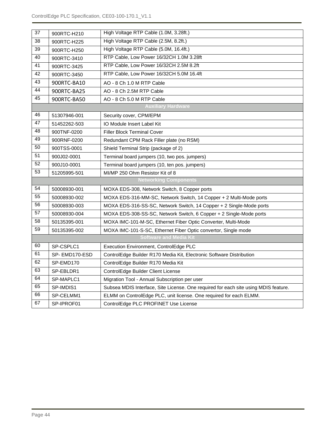| 37                            | 900RTC-H210   | High Voltage RTP Cable (1.0M, 3.28ft.)                                              |  |
|-------------------------------|---------------|-------------------------------------------------------------------------------------|--|
| 38                            | 900RTC-H225   | High Voltage RTP Cable (2.5M, 8.2ft.)                                               |  |
| 39                            | 900RTC-H250   | High Voltage RTP Cable (5.0M, 16.4ft.)                                              |  |
| 40                            | 900RTC-3410   | RTP Cable, Low Power 16/32CH 1.0M 3.28ft                                            |  |
| $\overline{41}$               | 900RTC-3425   | RTP Cable, Low Power 16/32CH 2.5M 8.2ft                                             |  |
| $\overline{42}$               | 900RTC-3450   | RTP Cable, Low Power 16/32CH 5.0M 16.4ft                                            |  |
| 43                            | 900RTC-BA10   | AO - 8 Ch 1.0 M RTP Cable                                                           |  |
| $\overline{44}$               | 900RTC-BA25   | AO - 8 Ch 2.5M RTP Cable                                                            |  |
| 45                            | 900RTC-BA50   | AO - 8 Ch 5.0 M RTP Cable                                                           |  |
|                               |               | <b>Auxiliary Hardware</b>                                                           |  |
| 46                            | 51307946-001  | Security cover, CPM/EPM                                                             |  |
| $\overline{47}$               | 51452262-503  | IO Module Insert Label Kit                                                          |  |
| 48                            | 900TNF-0200   | <b>Filler Block Terminal Cover</b>                                                  |  |
| 49                            | 900RNF-0200   | Redundant CPM Rack Filler plate (no RSM)                                            |  |
| 50                            | 900TSS-0001   | Shield Terminal Strip (package of 2)                                                |  |
| 51                            | 900J02-0001   | Terminal board jumpers (10, two pos. jumpers)                                       |  |
| $\overline{52}$               | 900J10-0001   | Terminal board jumpers (10, ten pos. jumpers)                                       |  |
| $\overline{53}$               | 51205995-501  | MI/MP 250 Ohm Resistor Kit of 8                                                     |  |
|                               |               | <b>Networking Components</b>                                                        |  |
| 54                            | 50008930-001  | MOXA EDS-308, Network Switch, 8 Copper ports                                        |  |
| 55                            | 50008930-002  | MOXA EDS-316-MM-SC, Network Switch, 14 Copper + 2 Multi-Mode ports                  |  |
| 56                            | 50008930-003  | MOXA EDS-316-SS-SC, Network Switch, 14 Copper + 2 Single-Mode ports                 |  |
| $\overline{57}$               | 50008930-004  | MOXA EDS-308-SS-SC, Network Switch, 6 Copper + 2 Single-Mode ports                  |  |
| 58                            | 50135395-001  | MOXA IMC-101-M-SC, Ethernet Fiber Optic Converter, Multi-Mode                       |  |
| $\overline{59}$               | 50135395-002  | MOXA IMC-101-S-SC, Ethernet Fiber Optic convertor, Single mode                      |  |
| <b>Software and Media Kit</b> |               |                                                                                     |  |
| 60                            | SP-CSPLC1     | Execution Environment, ControlEdge PLC                                              |  |
| 61                            | SP-EMD170-ESD | ControlEdge Builder R170 Media Kit, Electronic Software Distribution                |  |
| 62                            | SP-EMD170     | ControlEdge Builder R170 Media Kit                                                  |  |
| 63                            | SP-EBLDR1     | ControlEdge Builder Client License                                                  |  |
| 64                            | SP-MAPLC1     | Migration Tool - Annual Subscription per user                                       |  |
| 65                            | SP-IMDIS1     | Subsea MDIS Interface, Site License. One required for each site using MDIS feature. |  |
| 66                            | SP-CELMM1     | ELMM on ControlEdge PLC, unit license. One required for each ELMM.                  |  |
| 67                            | SP-IPROF01    | ControlEdge PLC PROFINET Use License                                                |  |